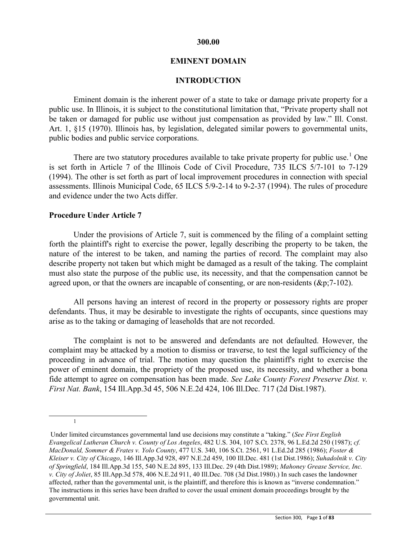#### **300.00**

#### **EMINENT DOMAIN**

### **INTRODUCTION**

Eminent domain is the inherent power of a state to take or damage private property for a public use. In Illinois, it is subject to the constitutional limitation that, "Private property shall not be taken or damaged for public use without just compensation as provided by law." Ill. Const. Art. 1, §15 (1970). Illinois has, by legislation, delegated similar powers to governmental units, public bodies and public service corporations.

There are two statutory procedures available to take private property for public use.<sup>[1](#page-0-0)</sup> One is set forth in Article 7 of the Illinois Code of Civil Procedure, 735 ILCS 5/7-101 to 7-129 (1994). The other is set forth as part of local improvement procedures in connection with special assessments. Illinois Municipal Code, 65 ILCS 5/9-2-14 to 9-2-37 (1994). The rules of procedure and evidence under the two Acts differ.

#### **Procedure Under Article 7**

Under the provisions of Article 7, suit is commenced by the filing of a complaint setting forth the plaintiff's right to exercise the power, legally describing the property to be taken, the nature of the interest to be taken, and naming the parties of record. The complaint may also describe property not taken but which might be damaged as a result of the taking. The complaint must also state the purpose of the public use, its necessity, and that the compensation cannot be agreed upon, or that the owners are incapable of consenting, or are non-residents (&p;7-102).

All persons having an interest of record in the property or possessory rights are proper defendants. Thus, it may be desirable to investigate the rights of occupants, since questions may arise as to the taking or damaging of leaseholds that are not recorded.

The complaint is not to be answered and defendants are not defaulted. However, the complaint may be attacked by a motion to dismiss or traverse, to test the legal sufficiency of the proceeding in advance of trial. The motion may question the plaintiff's right to exercise the power of eminent domain, the propriety of the proposed use, its necessity, and whether a bona fide attempt to agree on compensation has been made. *See Lake County Forest Preserve Dist. v. First Nat. Bank*, 154 Ill.App.3d 45, 506 N.E.2d 424, 106 Ill.Dec. 717 (2d Dist.1987).

<sup>&</sup>lt;u>1</u>

<span id="page-0-0"></span>Under limited circumstances governmental land use decisions may constitute a "taking." (*See First English Evangelical Lutheran Church v. County of Los Angeles*, 482 U.S. 304, 107 S.Ct. 2378, 96 L.Ed.2d 250 (1987); *cf. MacDonald, Sommer & Frates v. Yolo County*, 477 U.S. 340, 106 S.Ct. 2561, 91 L.Ed.2d 285 (1986); *Foster & Kleiser v. City of Chicago*, 146 Ill.App.3d 928, 497 N.E.2d 459, 100 Ill.Dec. 481 (1st Dist.1986); *Suhadolnik v. City of Springfield*, 184 Ill.App.3d 155, 540 N.E.2d 895, 133 Ill.Dec. 29 (4th Dist.1989); *Mahoney Grease Service, Inc. v. City of Joliet*, 85 Ill.App.3d 578, 406 N.E.2d 911, 40 Ill.Dec. 708 (3d Dist.1980).) In such cases the landowner affected, rather than the governmental unit, is the plaintiff, and therefore this is known as "inverse condemnation." The instructions in this series have been drafted to cover the usual eminent domain proceedings brought by the governmental unit.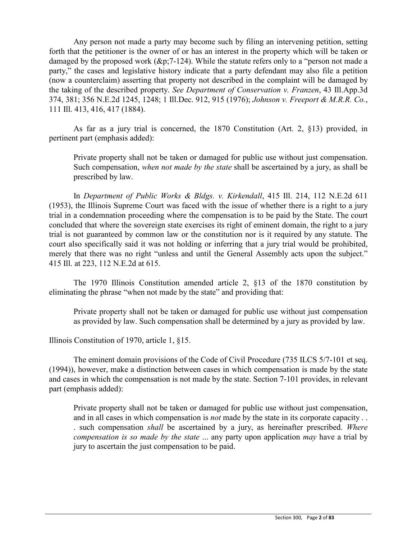Any person not made a party may become such by filing an intervening petition, setting forth that the petitioner is the owner of or has an interest in the property which will be taken or damaged by the proposed work (&p;7-124). While the statute refers only to a "person not made a party," the cases and legislative history indicate that a party defendant may also file a petition (now a counterclaim) asserting that property not described in the complaint will be damaged by the taking of the described property. *See Department of Conservation v. Franzen*, 43 Ill.App.3d 374, 381; 356 N.E.2d 1245, 1248; 1 Ill.Dec. 912, 915 (1976); *Johnson v. Freeport & M.R.R. Co.*, 111 Ill. 413, 416, 417 (1884).

As far as a jury trial is concerned, the 1870 Constitution (Art. 2, §13) provided, in pertinent part (emphasis added):

Private property shall not be taken or damaged for public use without just compensation. Such compensation, *when not made by the state* shall be ascertained by a jury, as shall be prescribed by law.

In *Department of Public Works & Bldgs. v. Kirkendall*, 415 Ill. 214, 112 N.E.2d 611 (1953), the Illinois Supreme Court was faced with the issue of whether there is a right to a jury trial in a condemnation proceeding where the compensation is to be paid by the State. The court concluded that where the sovereign state exercises its right of eminent domain, the right to a jury trial is not guaranteed by common law or the constitution nor is it required by any statute. The court also specifically said it was not holding or inferring that a jury trial would be prohibited, merely that there was no right "unless and until the General Assembly acts upon the subject." 415 Ill. at 223, 112 N.E.2d at 615.

The 1970 Illinois Constitution amended article 2, §13 of the 1870 constitution by eliminating the phrase "when not made by the state" and providing that:

Private property shall not be taken or damaged for public use without just compensation as provided by law. Such compensation shall be determined by a jury as provided by law.

Illinois Constitution of 1970, article 1, §15.

The eminent domain provisions of the Code of Civil Procedure (735 ILCS 5/7-101 et seq. (1994)), however, make a distinction between cases in which compensation is made by the state and cases in which the compensation is not made by the state. Section 7-101 provides, in relevant part (emphasis added):

Private property shall not be taken or damaged for public use without just compensation, and in all cases in which compensation is *not* made by the state in its corporate capacity . . . such compensation *shall* be ascertained by a jury, as hereinafter prescribed. *Where compensation is so made by the state* ... any party upon application *may* have a trial by jury to ascertain the just compensation to be paid.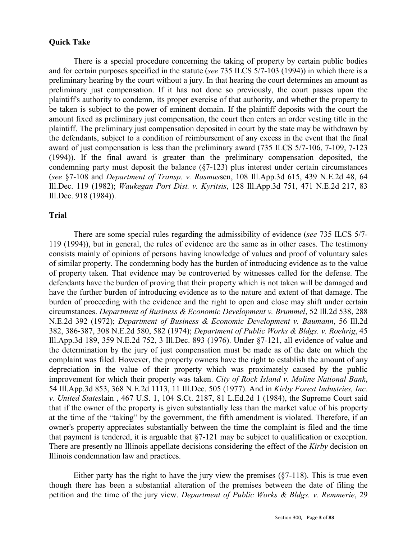# **Quick Take**

There is a special procedure concerning the taking of property by certain public bodies and for certain purposes specified in the statute (*see* 735 ILCS 5/7-103 (1994)) in which there is a preliminary hearing by the court without a jury. In that hearing the court determines an amount as preliminary just compensation. If it has not done so previously, the court passes upon the plaintiff's authority to condemn, its proper exercise of that authority, and whether the property to be taken is subject to the power of eminent domain. If the plaintiff deposits with the court the amount fixed as preliminary just compensation, the court then enters an order vesting title in the plaintiff. The preliminary just compensation deposited in court by the state may be withdrawn by the defendants, subject to a condition of reimbursement of any excess in the event that the final award of just compensation is less than the preliminary award (735 ILCS 5/7-106, 7-109, 7-123 (1994)). If the final award is greater than the preliminary compensation deposited, the condemning party must deposit the balance (§7-123) plus interest under certain circumstances (*see* §7-108 and *Department of Transp. v. Rasmus*sen, 108 Ill.App.3d 615, 439 N.E.2d 48, 64 Ill.Dec. 119 (1982); *Waukegan Port Dist. v. Kyritsis*, 128 Ill.App.3d 751, 471 N.E.2d 217, 83 Ill.Dec. 918 (1984)).

### **Trial**

There are some special rules regarding the admissibility of evidence (*see* 735 ILCS 5/7- 119 (1994)), but in general, the rules of evidence are the same as in other cases. The testimony consists mainly of opinions of persons having knowledge of values and proof of voluntary sales of similar property. The condemning body has the burden of introducing evidence as to the value of property taken. That evidence may be controverted by witnesses called for the defense. The defendants have the burden of proving that their property which is not taken will be damaged and have the further burden of introducing evidence as to the nature and extent of that damage. The burden of proceeding with the evidence and the right to open and close may shift under certain circumstances. *Department of Business & Economic Development v. Brummel*, 52 Ill.2d 538, 288 N.E.2d 392 (1972); *Department of Business & Economic Development v. Baumann*, 56 Ill.2d 382, 386-387, 308 N.E.2d 580, 582 (1974); *Department of Public Works & Bldgs. v. Roehrig*, 45 Ill.App.3d 189, 359 N.E.2d 752, 3 Ill.Dec. 893 (1976). Under §7-121, all evidence of value and the determination by the jury of just compensation must be made as of the date on which the complaint was filed. However, the property owners have the right to establish the amount of any depreciation in the value of their property which was proximately caused by the public improvement for which their property was taken. *City of Rock Island v. Moline National Bank*, 54 Ill.App.3d 853, 368 N.E.2d 1113, 11 Ill.Dec. 505 (1977). And in *Kirby Forest Industries, Inc. v. United States*lain , 467 U.S. 1, 104 S.Ct. 2187, 81 L.Ed.2d 1 (1984), the Supreme Court said that if the owner of the property is given substantially less than the market value of his property at the time of the "taking" by the government, the fifth amendment is violated. Therefore, if an owner's property appreciates substantially between the time the complaint is filed and the time that payment is tendered, it is arguable that §7-121 may be subject to qualification or exception. There are presently no Illinois appellate decisions considering the effect of the *Kirby* decision on Illinois condemnation law and practices.

Either party has the right to have the jury view the premises  $(\S 7$ -118). This is true even though there has been a substantial alteration of the premises between the date of filing the petition and the time of the jury view. *Department of Public Works & Bldgs. v. Remmerie*, 29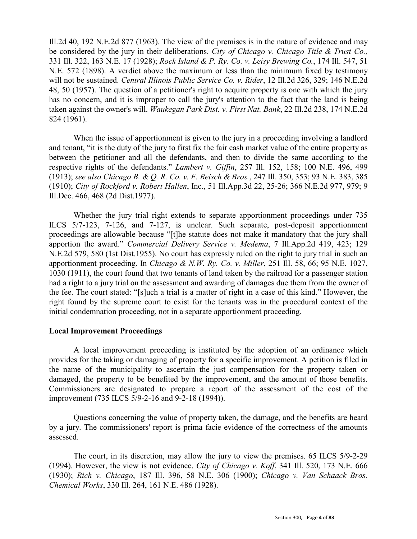Ill.2d 40, 192 N.E.2d 877 (1963). The view of the premises is in the nature of evidence and may be considered by the jury in their deliberations. *City of Chicago v. Chicago Title & Trust Co.,* 331 Ill. 322, 163 N.E. 17 (1928); *Rock Island & P. Ry. Co. v. Leisy Brewing Co.*, 174 Ill. 547, 51 N.E. 572 (1898). A verdict above the maximum or less than the minimum fixed by testimony will not be sustained. *Central Illinois Public Service Co. v. Rider*, 12 Ill.2d 326, 329; 146 N.E.2d 48, 50 (1957). The question of a petitioner's right to acquire property is one with which the jury has no concern, and it is improper to call the jury's attention to the fact that the land is being taken against the owner's will. *Waukegan Park Dist. v. First Nat. Bank*, 22 Ill.2d 238, 174 N.E.2d 824 (1961).

When the issue of apportionment is given to the jury in a proceeding involving a landlord and tenant, "it is the duty of the jury to first fix the fair cash market value of the entire property as between the petitioner and all the defendants, and then to divide the same according to the respective rights of the defendants." *Lambert v. Giffin*, 257 Ill. 152, 158; 100 N.E. 496, 499 (1913); *see also Chicago B. & Q. R. Co. v. F. Reisch & Bros.*, 247 Ill. 350, 353; 93 N.E. 383, 385 (1910); *City of Rockford v. Robert Hallen*, Inc., 51 Ill.App.3d 22, 25-26; 366 N.E.2d 977, 979; 9 Ill.Dec. 466, 468 (2d Dist.1977).

Whether the jury trial right extends to separate apportionment proceedings under 735 ILCS 5/7-123, 7-126, and 7-127, is unclear. Such separate, post-deposit apportionment proceedings are allowable because "[t]he statute does not make it mandatory that the jury shall apportion the award." *Commercial Delivery Service v. Medema*, 7 Ill.App.2d 419, 423; 129 N.E.2d 579, 580 (1st Dist.1955). No court has expressly ruled on the right to jury trial in such an apportionment proceeding. In *Chicago & N.W. Ry. Co. v. Miller*, 251 Ill. 58, 66; 95 N.E. 1027, 1030 (1911), the court found that two tenants of land taken by the railroad for a passenger station had a right to a jury trial on the assessment and awarding of damages due them from the owner of the fee. The court stated: "[s]uch a trial is a matter of right in a case of this kind." However, the right found by the supreme court to exist for the tenants was in the procedural context of the initial condemnation proceeding, not in a separate apportionment proceeding.

### **Local Improvement Proceedings**

A local improvement proceeding is instituted by the adoption of an ordinance which provides for the taking or damaging of property for a specific improvement. A petition is filed in the name of the municipality to ascertain the just compensation for the property taken or damaged, the property to be benefited by the improvement, and the amount of those benefits. Commissioners are designated to prepare a report of the assessment of the cost of the improvement (735 ILCS 5/9-2-16 and 9-2-18 (1994)).

Questions concerning the value of property taken, the damage, and the benefits are heard by a jury. The commissioners' report is prima facie evidence of the correctness of the amounts assessed.

The court, in its discretion, may allow the jury to view the premises. 65 ILCS 5/9-2-29 (1994). However, the view is not evidence. *City of Chicago v. Koff*, 341 Ill. 520, 173 N.E. 666 (1930); *Rich v. Chicago*, 187 Ill. 396, 58 N.E. 306 (1900); *Chicago v. Van Schaack Bros. Chemical Works*, 330 Ill. 264, 161 N.E. 486 (1928).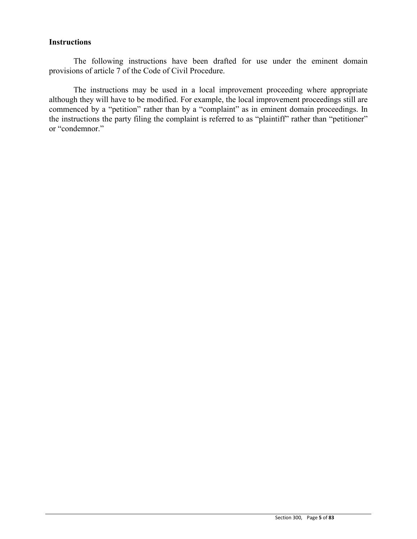### **Instructions**

The following instructions have been drafted for use under the eminent domain provisions of article 7 of the Code of Civil Procedure.

The instructions may be used in a local improvement proceeding where appropriate although they will have to be modified. For example, the local improvement proceedings still are commenced by a "petition" rather than by a "complaint" as in eminent domain proceedings. In the instructions the party filing the complaint is referred to as "plaintiff" rather than "petitioner" or "condemnor."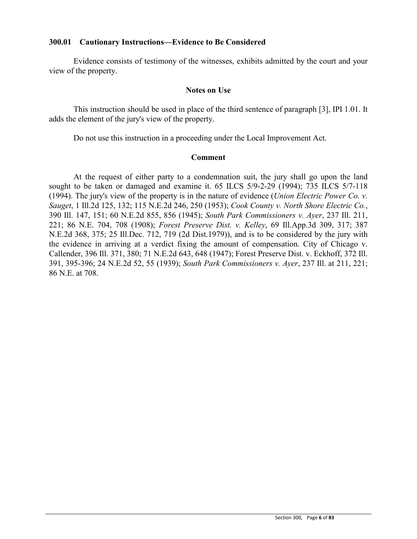### **300.01 Cautionary Instructions—Evidence to Be Considered**

Evidence consists of testimony of the witnesses, exhibits admitted by the court and your view of the property.

#### **Notes on Use**

This instruction should be used in place of the third sentence of paragraph [3], IPI 1.01. It adds the element of the jury's view of the property.

Do not use this instruction in a proceeding under the Local Improvement Act.

### **Comment**

At the request of either party to a condemnation suit, the jury shall go upon the land sought to be taken or damaged and examine it. 65 ILCS 5/9-2-29 (1994); 735 ILCS 5/7-118 (1994). The jury's view of the property is in the nature of evidence (*Union Electric Power Co. v. Sauget*, 1 Ill.2d 125, 132; 115 N.E.2d 246, 250 (1953); *Cook County v. North Shore Electric Co.*, 390 Ill. 147, 151; 60 N.E.2d 855, 856 (1945); *South Park Commissioners v. Ayer*, 237 Ill. 211, 221; 86 N.E. 704, 708 (1908); *Forest Preserve Dist. v. Kelley*, 69 Ill.App.3d 309, 317; 387 N.E.2d 368, 375; 25 Ill.Dec. 712, 719 (2d Dist.1979)), and is to be considered by the jury with the evidence in arriving at a verdict fixing the amount of compensation. City of Chicago v. Callender, 396 Ill. 371, 380; 71 N.E.2d 643, 648 (1947); Forest Preserve Dist. v. Eckhoff, 372 Ill. 391, 395-396; 24 N.E.2d 52, 55 (1939); *South Park Commissioners v. Ayer*, 237 Ill. at 211, 221; 86 N.E. at 708.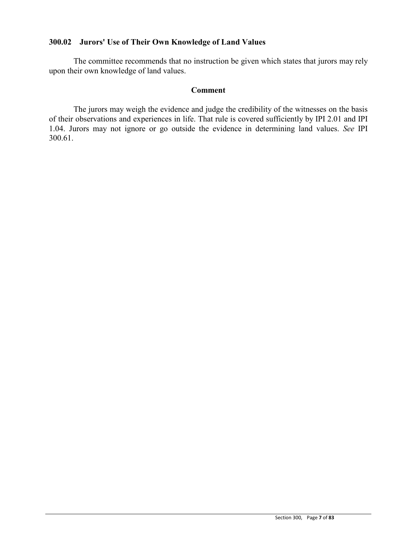# **300.02 Jurors' Use of Their Own Knowledge of Land Values**

The committee recommends that no instruction be given which states that jurors may rely upon their own knowledge of land values.

### **Comment**

The jurors may weigh the evidence and judge the credibility of the witnesses on the basis of their observations and experiences in life. That rule is covered sufficiently by IPI 2.01 and IPI 1.04. Jurors may not ignore or go outside the evidence in determining land values. *See* IPI 300.61.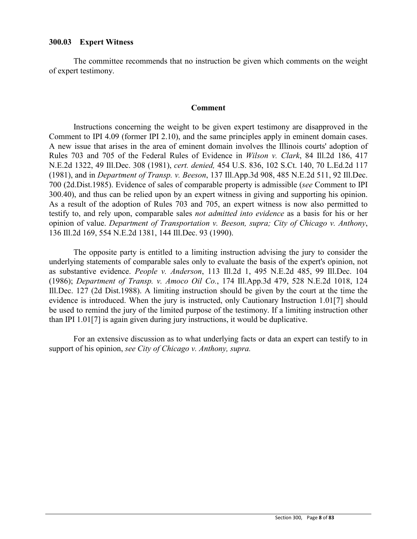### **300.03 Expert Witness**

The committee recommends that no instruction be given which comments on the weight of expert testimony.

#### **Comment**

Instructions concerning the weight to be given expert testimony are disapproved in the Comment to IPI 4.09 (former IPI 2.10), and the same principles apply in eminent domain cases. A new issue that arises in the area of eminent domain involves the Illinois courts' adoption of Rules 703 and 705 of the Federal Rules of Evidence in *Wilson v. Clark*, 84 Ill.2d 186, 417 N.E.2d 1322, 49 Ill.Dec. 308 (1981), *cert. denied,* 454 U.S. 836, 102 S.Ct. 140, 70 L.Ed.2d 117 (1981), and in *Department of Transp. v. Beeson*, 137 Ill.App.3d 908, 485 N.E.2d 511, 92 Ill.Dec. 700 (2d.Dist.1985). Evidence of sales of comparable property is admissible (*see* Comment to IPI 300.40), and thus can be relied upon by an expert witness in giving and supporting his opinion. As a result of the adoption of Rules 703 and 705, an expert witness is now also permitted to testify to, and rely upon, comparable sales *not admitted into evidence* as a basis for his or her opinion of value. *Department of Transportation v. Beeson, supra; City of Chicago v. Anthony*, 136 Ill.2d 169, 554 N.E.2d 1381, 144 Ill.Dec. 93 (1990).

The opposite party is entitled to a limiting instruction advising the jury to consider the underlying statements of comparable sales only to evaluate the basis of the expert's opinion, not as substantive evidence. *People v. Anderson*, 113 Ill.2d 1, 495 N.E.2d 485, 99 Ill.Dec. 104 (1986); *Department of Transp. v. Amoco Oil Co.*, 174 Ill.App.3d 479, 528 N.E.2d 1018, 124 Ill.Dec. 127 (2d Dist.1988). A limiting instruction should be given by the court at the time the evidence is introduced. When the jury is instructed, only Cautionary Instruction 1.01[7] should be used to remind the jury of the limited purpose of the testimony. If a limiting instruction other than IPI 1.01[7] is again given during jury instructions, it would be duplicative.

For an extensive discussion as to what underlying facts or data an expert can testify to in support of his opinion, *see City of Chicago v. Anthony, supra.*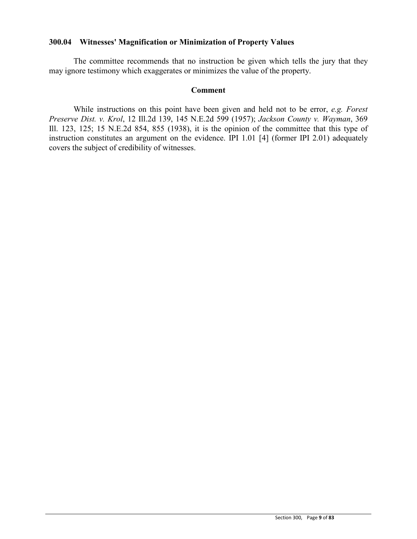### **300.04 Witnesses' Magnification or Minimization of Property Values**

The committee recommends that no instruction be given which tells the jury that they may ignore testimony which exaggerates or minimizes the value of the property.

#### **Comment**

While instructions on this point have been given and held not to be error, *e.g. Forest Preserve Dist. v. Krol*, 12 Ill.2d 139, 145 N.E.2d 599 (1957); *Jackson County v. Wayman*, 369 Ill. 123, 125; 15 N.E.2d 854, 855 (1938), it is the opinion of the committee that this type of instruction constitutes an argument on the evidence. IPI 1.01 [4] (former IPI 2.01) adequately covers the subject of credibility of witnesses.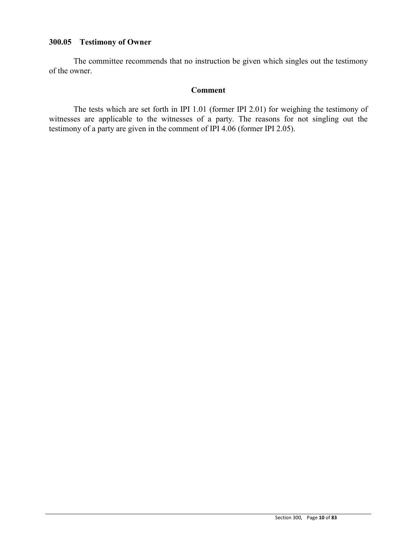## **300.05 Testimony of Owner**

The committee recommends that no instruction be given which singles out the testimony of the owner.

### **Comment**

The tests which are set forth in IPI 1.01 (former IPI 2.01) for weighing the testimony of witnesses are applicable to the witnesses of a party. The reasons for not singling out the testimony of a party are given in the comment of IPI 4.06 (former IPI 2.05).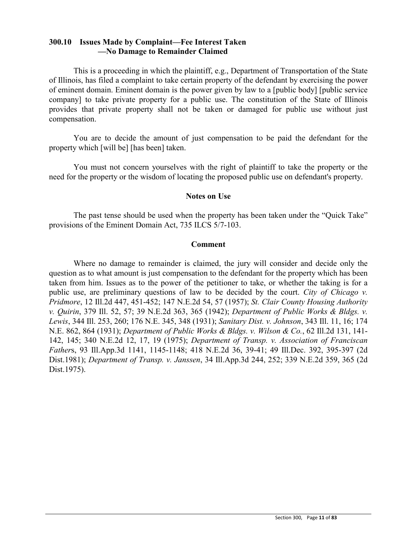### **300.10 Issues Made by Complaint—Fee Interest Taken —No Damage to Remainder Claimed**

This is a proceeding in which the plaintiff, e.g., Department of Transportation of the State of Illinois, has filed a complaint to take certain property of the defendant by exercising the power of eminent domain. Eminent domain is the power given by law to a [public body] [public service company] to take private property for a public use. The constitution of the State of Illinois provides that private property shall not be taken or damaged for public use without just compensation.

You are to decide the amount of just compensation to be paid the defendant for the property which [will be] [has been] taken.

You must not concern yourselves with the right of plaintiff to take the property or the need for the property or the wisdom of locating the proposed public use on defendant's property.

### **Notes on Use**

The past tense should be used when the property has been taken under the "Quick Take" provisions of the Eminent Domain Act, 735 ILCS 5/7-103.

#### **Comment**

Where no damage to remainder is claimed, the jury will consider and decide only the question as to what amount is just compensation to the defendant for the property which has been taken from him. Issues as to the power of the petitioner to take, or whether the taking is for a public use, are preliminary questions of law to be decided by the court. *City of Chicago v. Pridmore*, 12 Ill.2d 447, 451-452; 147 N.E.2d 54, 57 (1957); *St. Clair County Housing Authority v. Quirin*, 379 Ill. 52, 57; 39 N.E.2d 363, 365 (1942); *Department of Public Works & Bldgs. v. Lewis*, 344 Ill. 253, 260; 176 N.E. 345, 348 (1931); *Sanitary Dist. v. Johnson*, 343 Ill. 11, 16; 174 N.E. 862, 864 (1931); *Department of Public Works & Bldgs. v. Wilson & Co.*, 62 Ill.2d 131, 141- 142, 145; 340 N.E.2d 12, 17, 19 (1975); *Department of Transp. v. Association of Franciscan Father*s, 93 Ill.App.3d 1141, 1145-1148; 418 N.E.2d 36, 39-41; 49 Ill.Dec. 392, 395-397 (2d Dist.1981); *Department of Transp. v. Janssen*, 34 Ill.App.3d 244, 252; 339 N.E.2d 359, 365 (2d Dist.1975).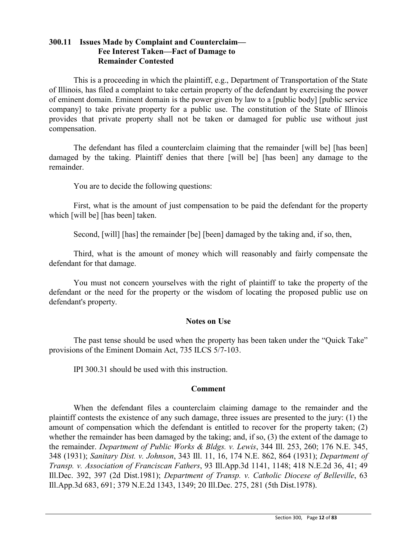# **300.11 Issues Made by Complaint and Counterclaim— Fee Interest Taken—Fact of Damage to Remainder Contested**

This is a proceeding in which the plaintiff, e.g., Department of Transportation of the State of Illinois, has filed a complaint to take certain property of the defendant by exercising the power of eminent domain. Eminent domain is the power given by law to a [public body] [public service company] to take private property for a public use. The constitution of the State of Illinois provides that private property shall not be taken or damaged for public use without just compensation.

The defendant has filed a counterclaim claiming that the remainder [will be] [has been] damaged by the taking. Plaintiff denies that there [will be] [has been] any damage to the remainder.

You are to decide the following questions:

First, what is the amount of just compensation to be paid the defendant for the property which [will be] [has been] taken.

Second, [will] [has] the remainder [be] [been] damaged by the taking and, if so, then,

Third, what is the amount of money which will reasonably and fairly compensate the defendant for that damage.

You must not concern yourselves with the right of plaintiff to take the property of the defendant or the need for the property or the wisdom of locating the proposed public use on defendant's property.

### **Notes on Use**

The past tense should be used when the property has been taken under the "Quick Take" provisions of the Eminent Domain Act, 735 ILCS 5/7-103.

IPI 300.31 should be used with this instruction.

### **Comment**

When the defendant files a counterclaim claiming damage to the remainder and the plaintiff contests the existence of any such damage, three issues are presented to the jury: (1) the amount of compensation which the defendant is entitled to recover for the property taken; (2) whether the remainder has been damaged by the taking; and, if so, (3) the extent of the damage to the remainder. *Department of Public Works & Bldgs. v. Lewis*, 344 Ill. 253, 260; 176 N.E. 345, 348 (1931); *Sanitary Dist. v. Johnson*, 343 Ill. 11, 16, 174 N.E. 862, 864 (1931); *Department of Transp. v. Association of Franciscan Fathers*, 93 Ill.App.3d 1141, 1148; 418 N.E.2d 36, 41; 49 Ill.Dec. 392, 397 (2d Dist.1981); *Department of Transp. v. Catholic Diocese of Belleville*, 63 Ill.App.3d 683, 691; 379 N.E.2d 1343, 1349; 20 Ill.Dec. 275, 281 (5th Dist.1978).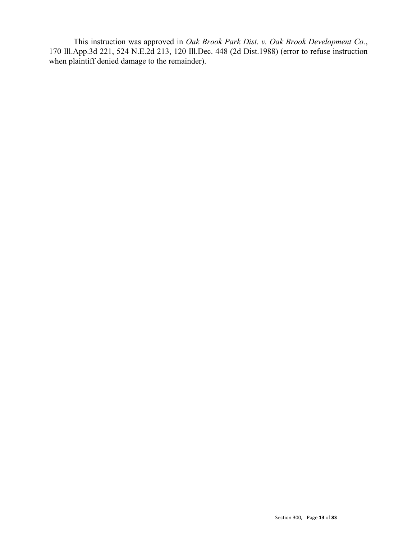This instruction was approved in *Oak Brook Park Dist. v. Oak Brook Development Co.*, 170 Ill.App.3d 221, 524 N.E.2d 213, 120 Ill.Dec. 448 (2d Dist.1988) (error to refuse instruction when plaintiff denied damage to the remainder).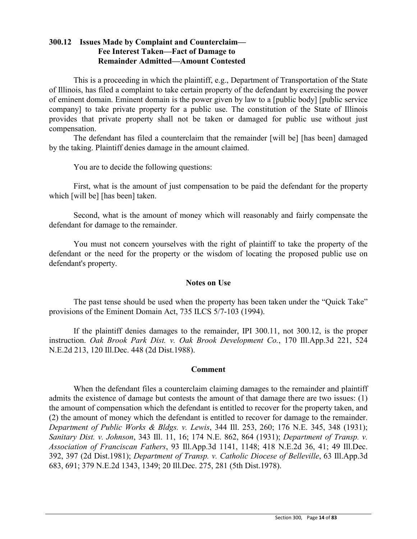## **300.12 Issues Made by Complaint and Counterclaim— Fee Interest Taken—Fact of Damage to Remainder Admitted—Amount Contested**

This is a proceeding in which the plaintiff, e.g., Department of Transportation of the State of Illinois, has filed a complaint to take certain property of the defendant by exercising the power of eminent domain. Eminent domain is the power given by law to a [public body] [public service company] to take private property for a public use. The constitution of the State of Illinois provides that private property shall not be taken or damaged for public use without just compensation.

The defendant has filed a counterclaim that the remainder [will be] [has been] damaged by the taking. Plaintiff denies damage in the amount claimed.

You are to decide the following questions:

First, what is the amount of just compensation to be paid the defendant for the property which [will be] [has been] taken.

Second, what is the amount of money which will reasonably and fairly compensate the defendant for damage to the remainder.

You must not concern yourselves with the right of plaintiff to take the property of the defendant or the need for the property or the wisdom of locating the proposed public use on defendant's property.

### **Notes on Use**

The past tense should be used when the property has been taken under the "Quick Take" provisions of the Eminent Domain Act, 735 ILCS 5/7-103 (1994).

If the plaintiff denies damages to the remainder, IPI 300.11, not 300.12, is the proper instruction. *Oak Brook Park Dist. v. Oak Brook Development Co.*, 170 Ill.App.3d 221, 524 N.E.2d 213, 120 Ill.Dec. 448 (2d Dist.1988).

### **Comment**

When the defendant files a counterclaim claiming damages to the remainder and plaintiff admits the existence of damage but contests the amount of that damage there are two issues: (1) the amount of compensation which the defendant is entitled to recover for the property taken, and (2) the amount of money which the defendant is entitled to recover for damage to the remainder. *Department of Public Works & Bldgs. v. Lewis*, 344 Ill. 253, 260; 176 N.E. 345, 348 (1931); *Sanitary Dist. v. Johnson*, 343 Ill. 11, 16; 174 N.E. 862, 864 (1931); *Department of Transp. v. Association of Franciscan Fathers*, 93 Ill.App.3d 1141, 1148; 418 N.E.2d 36, 41; 49 Ill.Dec. 392, 397 (2d Dist.1981); *Department of Transp. v. Catholic Diocese of Belleville*, 63 Ill.App.3d 683, 691; 379 N.E.2d 1343, 1349; 20 Ill.Dec. 275, 281 (5th Dist.1978).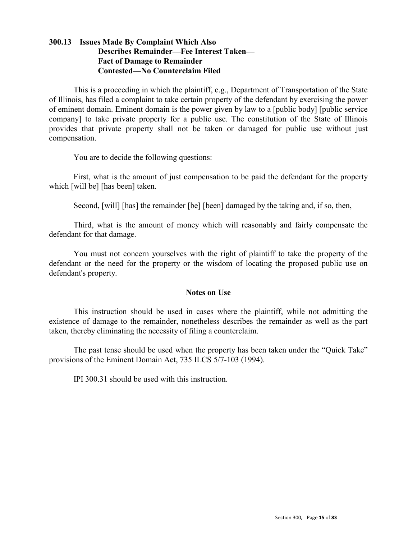# **300.13 Issues Made By Complaint Which Also Describes Remainder—Fee Interest Taken— Fact of Damage to Remainder Contested—No Counterclaim Filed**

This is a proceeding in which the plaintiff, e.g., Department of Transportation of the State of Illinois, has filed a complaint to take certain property of the defendant by exercising the power of eminent domain. Eminent domain is the power given by law to a [public body] [public service company] to take private property for a public use. The constitution of the State of Illinois provides that private property shall not be taken or damaged for public use without just compensation.

You are to decide the following questions:

First, what is the amount of just compensation to be paid the defendant for the property which [will be] [has been] taken.

Second, [will] [has] the remainder [be] [been] damaged by the taking and, if so, then,

Third, what is the amount of money which will reasonably and fairly compensate the defendant for that damage.

You must not concern yourselves with the right of plaintiff to take the property of the defendant or the need for the property or the wisdom of locating the proposed public use on defendant's property.

### **Notes on Use**

This instruction should be used in cases where the plaintiff, while not admitting the existence of damage to the remainder, nonetheless describes the remainder as well as the part taken, thereby eliminating the necessity of filing a counterclaim.

The past tense should be used when the property has been taken under the "Quick Take" provisions of the Eminent Domain Act, 735 ILCS 5/7-103 (1994).

IPI 300.31 should be used with this instruction.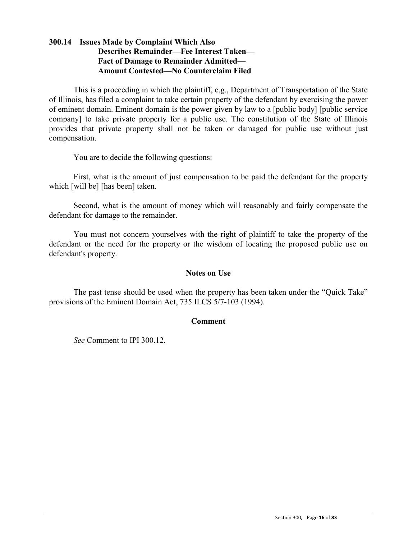# **300.14 Issues Made by Complaint Which Also Describes Remainder—Fee Interest Taken— Fact of Damage to Remainder Admitted— Amount Contested—No Counterclaim Filed**

This is a proceeding in which the plaintiff, e.g., Department of Transportation of the State of Illinois, has filed a complaint to take certain property of the defendant by exercising the power of eminent domain. Eminent domain is the power given by law to a [public body] [public service company] to take private property for a public use. The constitution of the State of Illinois provides that private property shall not be taken or damaged for public use without just compensation.

You are to decide the following questions:

First, what is the amount of just compensation to be paid the defendant for the property which [will be] [has been] taken.

Second, what is the amount of money which will reasonably and fairly compensate the defendant for damage to the remainder.

You must not concern yourselves with the right of plaintiff to take the property of the defendant or the need for the property or the wisdom of locating the proposed public use on defendant's property.

#### **Notes on Use**

The past tense should be used when the property has been taken under the "Quick Take" provisions of the Eminent Domain Act, 735 ILCS 5/7-103 (1994).

#### **Comment**

*See* Comment to IPI 300.12.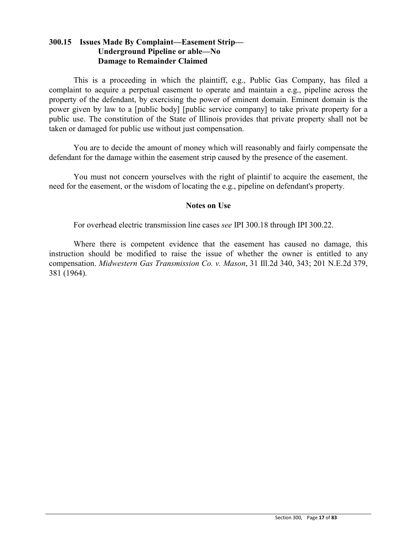# **300.15 Issues Made By Complaint—Easement Strip— Underground Pipeline or able—No Damage to Remainder Claimed**

This is a proceeding in which the plaintiff, e.g., Public Gas Company, has filed a complaint to acquire a perpetual easement to operate and maintain a e.g., pipeline across the property of the defendant, by exercising the power of eminent domain. Eminent domain is the power given by law to a [public body] [public service company] to take private property for a public use. The constitution of the State of Illinois provides that private property shall not be taken or damaged for public use without just compensation.

You are to decide the amount of money which will reasonably and fairly compensate the defendant for the damage within the easement strip caused by the presence of the easement.

You must not concern yourselves with the right of plaintif to acquire the easement, the need for the easement, or the wisdom of locating the e.g., pipeline on defendant's property.

### **Notes on Use**

For overhead electric transmission line cases *see* IPI 300.18 through IPI 300.22.

Where there is competent evidence that the easement has caused no damage, this instruction should be modified to raise the issue of whether the owner is entitled to any compensation. *Midwestern Gas Transmission Co. v. Mason*, 31 Ill.2d 340, 343; 201 N.E.2d 379, 381 (1964).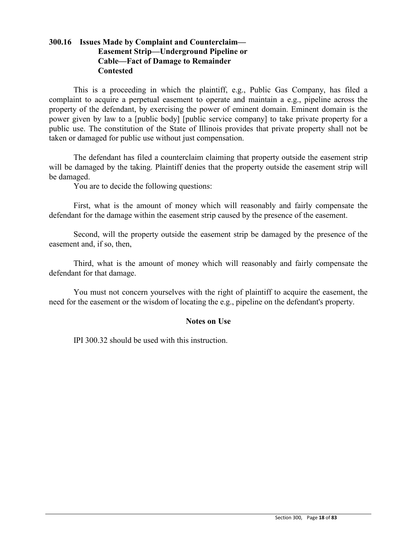# **300.16 Issues Made by Complaint and Counterclaim— Easement Strip—Underground Pipeline or Cable—Fact of Damage to Remainder Contested**

This is a proceeding in which the plaintiff, e.g., Public Gas Company, has filed a complaint to acquire a perpetual easement to operate and maintain a e.g., pipeline across the property of the defendant, by exercising the power of eminent domain. Eminent domain is the power given by law to a [public body] [public service company] to take private property for a public use. The constitution of the State of Illinois provides that private property shall not be taken or damaged for public use without just compensation.

The defendant has filed a counterclaim claiming that property outside the easement strip will be damaged by the taking. Plaintiff denies that the property outside the easement strip will be damaged.

You are to decide the following questions:

First, what is the amount of money which will reasonably and fairly compensate the defendant for the damage within the easement strip caused by the presence of the easement.

Second, will the property outside the easement strip be damaged by the presence of the easement and, if so, then,

Third, what is the amount of money which will reasonably and fairly compensate the defendant for that damage.

You must not concern yourselves with the right of plaintiff to acquire the easement, the need for the easement or the wisdom of locating the e.g., pipeline on the defendant's property.

### **Notes on Use**

IPI 300.32 should be used with this instruction.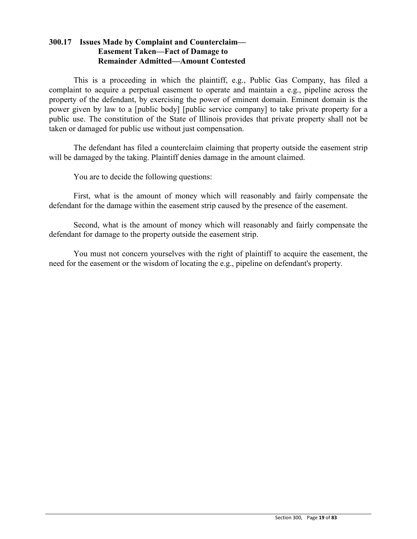## **300.17 Issues Made by Complaint and Counterclaim— Easement Taken—Fact of Damage to Remainder Admitted—Amount Contested**

This is a proceeding in which the plaintiff, e.g., Public Gas Company, has filed a complaint to acquire a perpetual easement to operate and maintain a e.g., pipeline across the property of the defendant, by exercising the power of eminent domain. Eminent domain is the power given by law to a [public body] [public service company] to take private property for a public use. The constitution of the State of Illinois provides that private property shall not be taken or damaged for public use without just compensation.

The defendant has filed a counterclaim claiming that property outside the easement strip will be damaged by the taking. Plaintiff denies damage in the amount claimed.

You are to decide the following questions:

First, what is the amount of money which will reasonably and fairly compensate the defendant for the damage within the easement strip caused by the presence of the easement.

Second, what is the amount of money which will reasonably and fairly compensate the defendant for damage to the property outside the easement strip.

You must not concern yourselves with the right of plaintiff to acquire the easement, the need for the easement or the wisdom of locating the e.g., pipeline on defendant's property.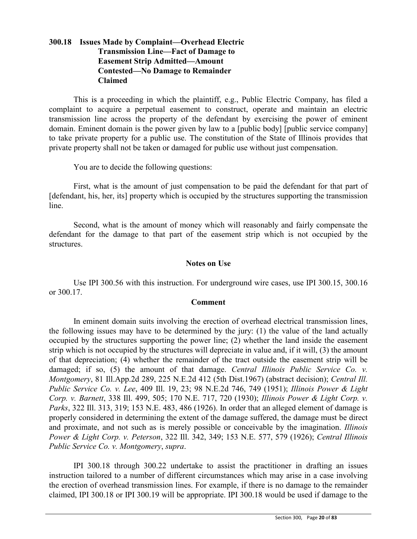# **300.18 Issues Made by Complaint—Overhead Electric Transmission Line—Fact of Damage to Easement Strip Admitted—Amount Contested—No Damage to Remainder Claimed**

This is a proceeding in which the plaintiff, e.g., Public Electric Company, has filed a complaint to acquire a perpetual easement to construct, operate and maintain an electric transmission line across the property of the defendant by exercising the power of eminent domain. Eminent domain is the power given by law to a [public body] [public service company] to take private property for a public use. The constitution of the State of Illinois provides that private property shall not be taken or damaged for public use without just compensation.

You are to decide the following questions:

First, what is the amount of just compensation to be paid the defendant for that part of [defendant, his, her, its] property which is occupied by the structures supporting the transmission line.

Second, what is the amount of money which will reasonably and fairly compensate the defendant for the damage to that part of the easement strip which is not occupied by the structures.

### **Notes on Use**

Use IPI 300.56 with this instruction. For underground wire cases, use IPI 300.15, 300.16 or 300.17.

### **Comment**

In eminent domain suits involving the erection of overhead electrical transmission lines, the following issues may have to be determined by the jury: (1) the value of the land actually occupied by the structures supporting the power line; (2) whether the land inside the easement strip which is not occupied by the structures will depreciate in value and, if it will, (3) the amount of that depreciation; (4) whether the remainder of the tract outside the easement strip will be damaged; if so, (5) the amount of that damage. *Central Illinois Public Service Co. v. Montgomery*, 81 Ill.App.2d 289, 225 N.E.2d 412 (5th Dist.1967) (abstract decision); *Central Ill. Public Service Co. v. Lee*, 409 Ill. 19, 23; 98 N.E.2d 746, 749 (1951); *Illinois Power & Light Corp. v. Barnett*, 338 Ill. 499, 505; 170 N.E. 717, 720 (1930); *Illinois Power & Light Corp. v. Parks*, 322 Ill. 313, 319; 153 N.E. 483, 486 (1926). In order that an alleged element of damage is properly considered in determining the extent of the damage suffered, the damage must be direct and proximate, and not such as is merely possible or conceivable by the imagination. *Illinois Power & Light Corp. v. Peterson*, 322 Ill. 342, 349; 153 N.E. 577, 579 (1926); *Central Illinois Public Service Co. v. Montgomery*, *supra*.

IPI 300.18 through 300.22 undertake to assist the practitioner in drafting an issues instruction tailored to a number of different circumstances which may arise in a case involving the erection of overhead transmission lines. For example, if there is no damage to the remainder claimed, IPI 300.18 or IPI 300.19 will be appropriate. IPI 300.18 would be used if damage to the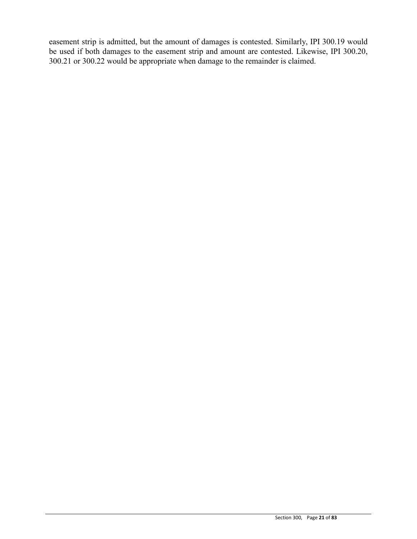easement strip is admitted, but the amount of damages is contested. Similarly, IPI 300.19 would be used if both damages to the easement strip and amount are contested. Likewise, IPI 300.20, 300.21 or 300.22 would be appropriate when damage to the remainder is claimed.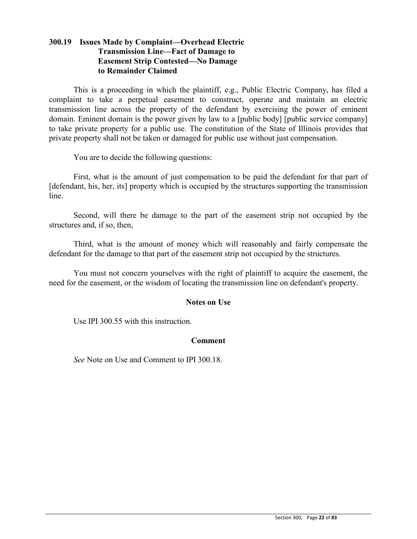# **300.19 Issues Made by Complaint—Overhead Electric Transmission Line—Fact of Damage to Easement Strip Contested—No Damage to Remainder Claimed**

This is a proceeding in which the plaintiff, e.g., Public Electric Company, has filed a complaint to take a perpetual easement to construct, operate and maintain an electric transmission line across the property of the defendant by exercising the power of eminent domain. Eminent domain is the power given by law to a [public body] [public service company] to take private property for a public use. The constitution of the State of Illinois provides that private property shall not be taken or damaged for public use without just compensation.

You are to decide the following questions:

First, what is the amount of just compensation to be paid the defendant for that part of [defendant, his, her, its] property which is occupied by the structures supporting the transmission line.

Second, will there be damage to the part of the easement strip not occupied by the structures and, if so, then,

Third, what is the amount of money which will reasonably and fairly compensate the defendant for the damage to that part of the easement strip not occupied by the structures.

You must not concern yourselves with the right of plaintiff to acquire the easement, the need for the easement, or the wisdom of locating the transmission line on defendant's property.

### **Notes on Use**

Use IPI 300.55 with this instruction.

### **Comment**

*See* Note on Use and Comment to IPI 300.18.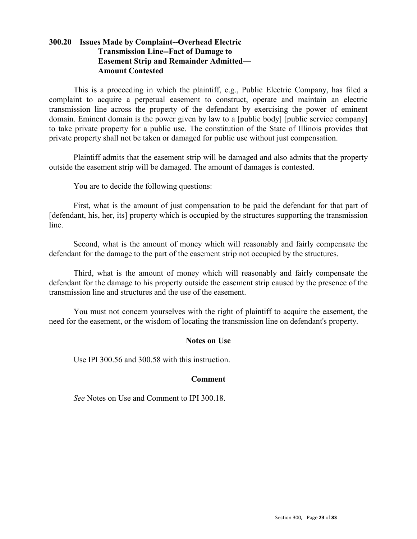# **300.20 Issues Made by Complaint--Overhead Electric Transmission Line--Fact of Damage to Easement Strip and Remainder Admitted— Amount Contested**

This is a proceeding in which the plaintiff, e.g., Public Electric Company, has filed a complaint to acquire a perpetual easement to construct, operate and maintain an electric transmission line across the property of the defendant by exercising the power of eminent domain. Eminent domain is the power given by law to a [public body] [public service company] to take private property for a public use. The constitution of the State of Illinois provides that private property shall not be taken or damaged for public use without just compensation.

Plaintiff admits that the easement strip will be damaged and also admits that the property outside the easement strip will be damaged. The amount of damages is contested.

You are to decide the following questions:

First, what is the amount of just compensation to be paid the defendant for that part of [defendant, his, her, its] property which is occupied by the structures supporting the transmission line.

Second, what is the amount of money which will reasonably and fairly compensate the defendant for the damage to the part of the easement strip not occupied by the structures.

Third, what is the amount of money which will reasonably and fairly compensate the defendant for the damage to his property outside the easement strip caused by the presence of the transmission line and structures and the use of the easement.

You must not concern yourselves with the right of plaintiff to acquire the easement, the need for the easement, or the wisdom of locating the transmission line on defendant's property.

### **Notes on Use**

Use IPI 300.56 and 300.58 with this instruction.

### **Comment**

*See* Notes on Use and Comment to IPI 300.18.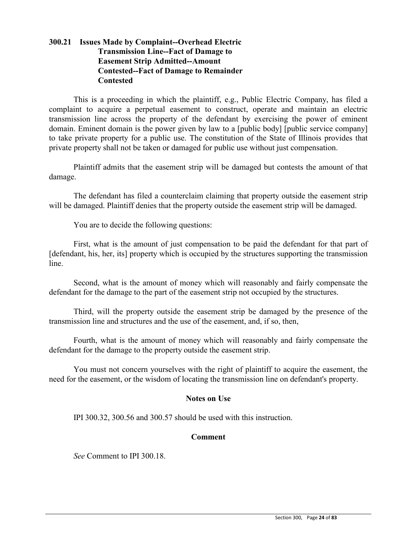# **300.21 Issues Made by Complaint--Overhead Electric Transmission Line--Fact of Damage to Easement Strip Admitted--Amount Contested--Fact of Damage to Remainder Contested**

This is a proceeding in which the plaintiff, e.g., Public Electric Company, has filed a complaint to acquire a perpetual easement to construct, operate and maintain an electric transmission line across the property of the defendant by exercising the power of eminent domain. Eminent domain is the power given by law to a [public body] [public service company] to take private property for a public use. The constitution of the State of Illinois provides that private property shall not be taken or damaged for public use without just compensation.

Plaintiff admits that the easement strip will be damaged but contests the amount of that damage.

The defendant has filed a counterclaim claiming that property outside the easement strip will be damaged. Plaintiff denies that the property outside the easement strip will be damaged.

You are to decide the following questions:

First, what is the amount of just compensation to be paid the defendant for that part of [defendant, his, her, its] property which is occupied by the structures supporting the transmission line.

Second, what is the amount of money which will reasonably and fairly compensate the defendant for the damage to the part of the easement strip not occupied by the structures.

Third, will the property outside the easement strip be damaged by the presence of the transmission line and structures and the use of the easement, and, if so, then,

Fourth, what is the amount of money which will reasonably and fairly compensate the defendant for the damage to the property outside the easement strip.

You must not concern yourselves with the right of plaintiff to acquire the easement, the need for the easement, or the wisdom of locating the transmission line on defendant's property.

### **Notes on Use**

IPI 300.32, 300.56 and 300.57 should be used with this instruction.

# **Comment**

*See* Comment to IPI 300.18.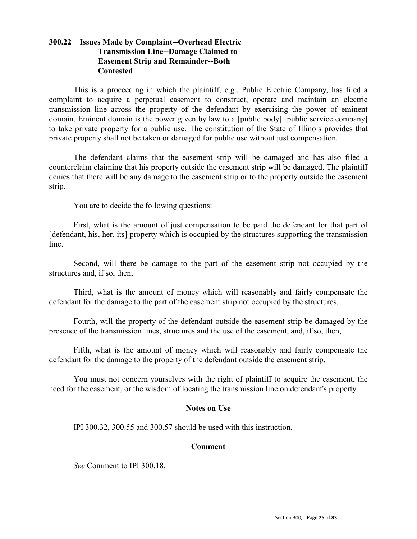# **300.22 Issues Made by Complaint--Overhead Electric Transmission Line--Damage Claimed to Easement Strip and Remainder--Both Contested**

This is a proceeding in which the plaintiff, e.g., Public Electric Company, has filed a complaint to acquire a perpetual easement to construct, operate and maintain an electric transmission line across the property of the defendant by exercising the power of eminent domain. Eminent domain is the power given by law to a [public body] [public service company] to take private property for a public use. The constitution of the State of Illinois provides that private property shall not be taken or damaged for public use without just compensation.

The defendant claims that the easement strip will be damaged and has also filed a counterclaim claiming that his property outside the easement strip will be damaged. The plaintiff denies that there will be any damage to the easement strip or to the property outside the easement strip.

You are to decide the following questions:

First, what is the amount of just compensation to be paid the defendant for that part of [defendant, his, her, its] property which is occupied by the structures supporting the transmission line.

Second, will there be damage to the part of the easement strip not occupied by the structures and, if so, then,

Third, what is the amount of money which will reasonably and fairly compensate the defendant for the damage to the part of the easement strip not occupied by the structures.

Fourth, will the property of the defendant outside the easement strip be damaged by the presence of the transmission lines, structures and the use of the easement, and, if so, then,

Fifth, what is the amount of money which will reasonably and fairly compensate the defendant for the damage to the property of the defendant outside the easement strip.

You must not concern yourselves with the right of plaintiff to acquire the easement, the need for the easement, or the wisdom of locating the transmission line on defendant's property.

### **Notes on Use**

IPI 300.32, 300.55 and 300.57 should be used with this instruction.

### **Comment**

*See* Comment to IPI 300.18.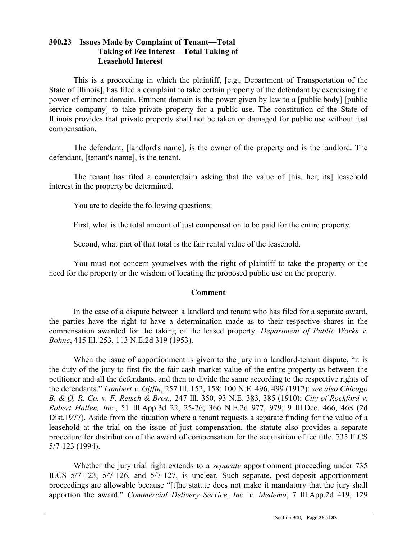# **300.23 Issues Made by Complaint of Tenant—Total Taking of Fee Interest—Total Taking of Leasehold Interest**

This is a proceeding in which the plaintiff, [e.g., Department of Transportation of the State of Illinois], has filed a complaint to take certain property of the defendant by exercising the power of eminent domain. Eminent domain is the power given by law to a [public body] [public service company] to take private property for a public use. The constitution of the State of Illinois provides that private property shall not be taken or damaged for public use without just compensation.

The defendant, [landlord's name], is the owner of the property and is the landlord. The defendant, [tenant's name], is the tenant.

The tenant has filed a counterclaim asking that the value of [his, her, its] leasehold interest in the property be determined.

You are to decide the following questions:

First, what is the total amount of just compensation to be paid for the entire property.

Second, what part of that total is the fair rental value of the leasehold.

You must not concern yourselves with the right of plaintiff to take the property or the need for the property or the wisdom of locating the proposed public use on the property.

# **Comment**

In the case of a dispute between a landlord and tenant who has filed for a separate award, the parties have the right to have a determination made as to their respective shares in the compensation awarded for the taking of the leased property. *Department of Public Works v. Bohne*, 415 Ill. 253, 113 N.E.2d 319 (1953).

When the issue of apportionment is given to the jury in a landlord-tenant dispute, "it is the duty of the jury to first fix the fair cash market value of the entire property as between the petitioner and all the defendants, and then to divide the same according to the respective rights of the defendants." *Lambert v. Giffin*, 257 Ill. 152, 158; 100 N.E. 496, 499 (1912); *see also Chicago B. & Q. R. Co. v. F. Reisch & Bros.,* 247 Ill. 350, 93 N.E. 383, 385 (1910); *City of Rockford v. Robert Hallen, Inc.*, 51 Ill.App.3d 22, 25-26; 366 N.E.2d 977, 979; 9 Ill.Dec. 466, 468 (2d Dist.1977). Aside from the situation where a tenant requests a separate finding for the value of a leasehold at the trial on the issue of just compensation, the statute also provides a separate procedure for distribution of the award of compensation for the acquisition of fee title. 735 ILCS 5/7-123 (1994).

Whether the jury trial right extends to a *separate* apportionment proceeding under 735 ILCS 5/7-123, 5/7-126, and 5/7-127, is unclear. Such separate, post-deposit apportionment proceedings are allowable because "[t]he statute does not make it mandatory that the jury shall apportion the award." *Commercial Delivery Service, Inc. v. Medema*, 7 Ill.App.2d 419, 129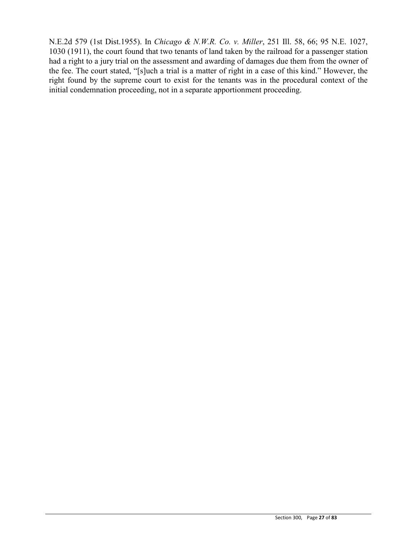N.E.2d 579 (1st Dist.1955). In *Chicago & N.W.R. Co. v. Miller*, 251 Ill. 58, 66; 95 N.E. 1027, 1030 (1911), the court found that two tenants of land taken by the railroad for a passenger station had a right to a jury trial on the assessment and awarding of damages due them from the owner of the fee. The court stated, "[s]uch a trial is a matter of right in a case of this kind." However, the right found by the supreme court to exist for the tenants was in the procedural context of the initial condemnation proceeding, not in a separate apportionment proceeding.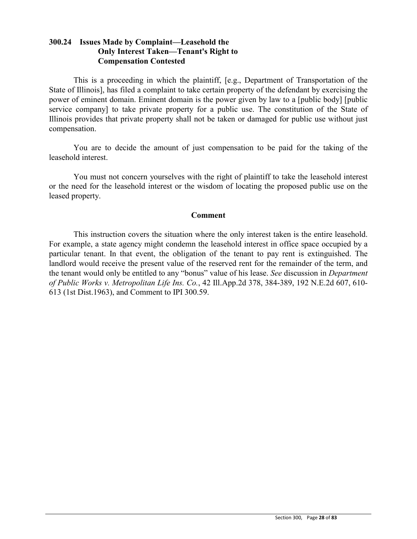# **300.24 Issues Made by Complaint—Leasehold the Only Interest Taken—Tenant's Right to Compensation Contested**

This is a proceeding in which the plaintiff, [e.g., Department of Transportation of the State of Illinois], has filed a complaint to take certain property of the defendant by exercising the power of eminent domain. Eminent domain is the power given by law to a [public body] [public service company] to take private property for a public use. The constitution of the State of Illinois provides that private property shall not be taken or damaged for public use without just compensation.

You are to decide the amount of just compensation to be paid for the taking of the leasehold interest.

You must not concern yourselves with the right of plaintiff to take the leasehold interest or the need for the leasehold interest or the wisdom of locating the proposed public use on the leased property.

### **Comment**

This instruction covers the situation where the only interest taken is the entire leasehold. For example, a state agency might condemn the leasehold interest in office space occupied by a particular tenant. In that event, the obligation of the tenant to pay rent is extinguished. The landlord would receive the present value of the reserved rent for the remainder of the term, and the tenant would only be entitled to any "bonus" value of his lease. *See* discussion in *Department of Public Works v. Metropolitan Life Ins. Co.*, 42 Ill.App.2d 378, 384-389, 192 N.E.2d 607, 610- 613 (1st Dist.1963), and Comment to IPI 300.59.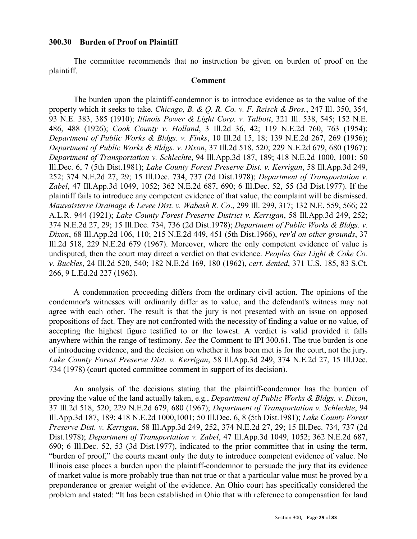### **300.30 Burden of Proof on Plaintiff**

The committee recommends that no instruction be given on burden of proof on the plaintiff.

#### **Comment**

The burden upon the plaintiff-condemnor is to introduce evidence as to the value of the property which it seeks to take. *Chicago, B. & Q. R. Co. v. F. Reisch & Bros.*, 247 Ill. 350, 354, 93 N.E. 383, 385 (1910); *Illinois Power & Light Corp. v. Talbott*, 321 Ill. 538, 545; 152 N.E. 486, 488 (1926); *Cook County v. Holland*, 3 Ill.2d 36, 42; 119 N.E.2d 760, 763 (1954); *Department of Public Works & Bldgs. v. Finks*, 10 Ill.2d 15, 18; 139 N.E.2d 267, 269 (1956); *Department of Public Works & Bldgs. v. Dixon*, 37 Ill.2d 518, 520; 229 N.E.2d 679, 680 (1967); *Department of Transportation v. Schlechte*, 94 Ill.App.3d 187, 189; 418 N.E.2d 1000, 1001; 50 Ill.Dec. 6, 7 (5th Dist.1981); *Lake County Forest Preserve Dist. v. Kerrigan*, 58 Ill.App.3d 249, 252; 374 N.E.2d 27, 29; 15 Ill.Dec. 734, 737 (2d Dist.1978); *Department of Transportation v. Zabel*, 47 Ill.App.3d 1049, 1052; 362 N.E.2d 687, 690; 6 Ill.Dec. 52, 55 (3d Dist.1977). If the plaintiff fails to introduce any competent evidence of that value, the complaint will be dismissed. *Mauvaisterre Drainage & Levee Dist. v. Wabash R. Co*., 299 Ill. 299, 317; 132 N.E. 559, 566; 22 A.L.R. 944 (1921); *Lake County Forest Preserve District v. Kerrigan*, 58 Ill.App.3d 249, 252; 374 N.E.2d 27, 29; 15 Ill.Dec. 734, 736 (2d Dist.1978); *Department of Public Works & Bldgs. v. Dixon*, 68 Ill.App.2d 106, 110; 215 N.E.2d 449, 451 (5th Dist.1966), *rev'd on other grounds*, 37 Ill.2d 518, 229 N.E.2d 679 (1967). Moreover, where the only competent evidence of value is undisputed, then the court may direct a verdict on that evidence. *Peoples Gas Light & Coke Co. v. Buckles*, 24 Ill.2d 520, 540; 182 N.E.2d 169, 180 (1962), *cert. denied*, 371 U.S. 185, 83 S.Ct. 266, 9 L.Ed.2d 227 (1962).

A condemnation proceeding differs from the ordinary civil action. The opinions of the condemnor's witnesses will ordinarily differ as to value, and the defendant's witness may not agree with each other. The result is that the jury is not presented with an issue on opposed propositions of fact. They are not confronted with the necessity of finding a value or no value, of accepting the highest figure testified to or the lowest. A verdict is valid provided it falls anywhere within the range of testimony. *See* the Comment to IPI 300.61. The true burden is one of introducing evidence, and the decision on whether it has been met is for the court, not the jury. *Lake County Forest Preserve Dist. v. Kerrigan*, 58 Ill.App.3d 249, 374 N.E.2d 27, 15 Ill.Dec. 734 (1978) (court quoted committee comment in support of its decision).

An analysis of the decisions stating that the plaintiff-condemnor has the burden of proving the value of the land actually taken, e.g., *Department of Public Works & Bldgs. v. Dixon*, 37 Ill.2d 518, 520; 229 N.E.2d 679, 680 (1967); *Department of Transportation v. Schlechte*, 94 Ill.App.3d 187, 189; 418 N.E.2d 1000,1001; 50 Ill.Dec. 6, 8 (5th Dist.1981); *Lake County Forest Preserve Dist. v. Kerrigan*, 58 Ill.App.3d 249, 252, 374 N.E.2d 27, 29; 15 Ill.Dec. 734, 737 (2d Dist.1978); *Department of Transportation v. Zabel*, 47 Ill.App.3d 1049, 1052; 362 N.E.2d 687, 690; 6 Ill.Dec. 52, 53 (3d Dist.1977), indicated to the prior committee that in using the term, "burden of proof," the courts meant only the duty to introduce competent evidence of value. No Illinois case places a burden upon the plaintiff-condemnor to persuade the jury that its evidence of market value is more probably true than not true or that a particular value must be proved by a preponderance or greater weight of the evidence. An Ohio court has specifically considered the problem and stated: "It has been established in Ohio that with reference to compensation for land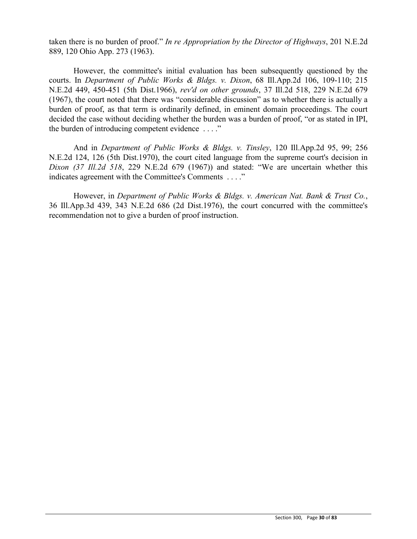taken there is no burden of proof." *In re Appropriation by the Director of Highways*, 201 N.E.2d 889, 120 Ohio App. 273 (1963).

However, the committee's initial evaluation has been subsequently questioned by the courts. In *Department of Public Works & Bldgs. v. Dixon*, 68 Ill.App.2d 106, 109-110; 215 N.E.2d 449, 450-451 (5th Dist.1966), *rev'd on other grounds*, 37 Ill.2d 518, 229 N.E.2d 679 (1967), the court noted that there was "considerable discussion" as to whether there is actually a burden of proof, as that term is ordinarily defined, in eminent domain proceedings. The court decided the case without deciding whether the burden was a burden of proof, "or as stated in IPI, the burden of introducing competent evidence . . . ."

And in *Department of Public Works & Bldgs. v. Tinsley*, 120 Ill.App.2d 95, 99; 256 N.E.2d 124, 126 (5th Dist.1970), the court cited language from the supreme court's decision in *Dixon (37 Ill.2d 518*, 229 N.E.2d 679 (1967)) and stated: "We are uncertain whether this indicates agreement with the Committee's Comments . . . ."

However, in *Department of Public Works & Bldgs. v. American Nat. Bank & Trust Co.*, 36 Ill.App.3d 439, 343 N.E.2d 686 (2d Dist.1976), the court concurred with the committee's recommendation not to give a burden of proof instruction.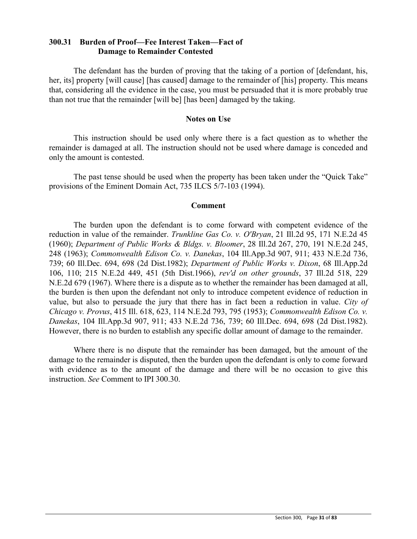### **300.31 Burden of Proof—Fee Interest Taken—Fact of Damage to Remainder Contested**

The defendant has the burden of proving that the taking of a portion of [defendant, his, her, its] property [will cause] [has caused] damage to the remainder of [his] property. This means that, considering all the evidence in the case, you must be persuaded that it is more probably true than not true that the remainder [will be] [has been] damaged by the taking.

#### **Notes on Use**

This instruction should be used only where there is a fact question as to whether the remainder is damaged at all. The instruction should not be used where damage is conceded and only the amount is contested.

The past tense should be used when the property has been taken under the "Quick Take" provisions of the Eminent Domain Act, 735 ILCS 5/7-103 (1994).

#### **Comment**

The burden upon the defendant is to come forward with competent evidence of the reduction in value of the remainder. *Trunkline Gas Co. v. O'Bryan*, 21 Ill.2d 95, 171 N.E.2d 45 (1960); *Department of Public Works & Bldgs. v. Bloomer*, 28 Ill.2d 267, 270, 191 N.E.2d 245, 248 (1963); *Commonwealth Edison Co. v. Danekas*, 104 Ill.App.3d 907, 911; 433 N.E.2d 736, 739; 60 Ill.Dec. 694, 698 (2d Dist.1982); *Department of Public Works v. Dixon*, 68 Ill.App.2d 106, 110; 215 N.E.2d 449, 451 (5th Dist.1966), *rev'd on other grounds*, 37 Ill.2d 518, 229 N.E.2d 679 (1967). Where there is a dispute as to whether the remainder has been damaged at all, the burden is then upon the defendant not only to introduce competent evidence of reduction in value, but also to persuade the jury that there has in fact been a reduction in value. *City of Chicago v. Provus*, 415 Ill. 618, 623, 114 N.E.2d 793, 795 (1953); *Commonwealth Edison Co. v. Danekas*, 104 Ill.App.3d 907, 911; 433 N.E.2d 736, 739; 60 Ill.Dec. 694, 698 (2d Dist.1982). However, there is no burden to establish any specific dollar amount of damage to the remainder.

Where there is no dispute that the remainder has been damaged, but the amount of the damage to the remainder is disputed, then the burden upon the defendant is only to come forward with evidence as to the amount of the damage and there will be no occasion to give this instruction. *See* Comment to IPI 300.30.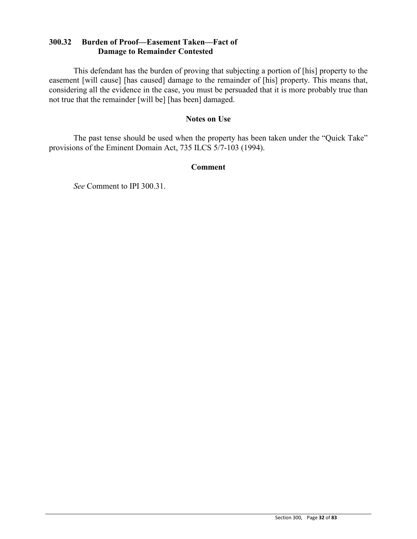## **300.32 Burden of Proof—Easement Taken—Fact of Damage to Remainder Contested**

This defendant has the burden of proving that subjecting a portion of [his] property to the easement [will cause] [has caused] damage to the remainder of [his] property. This means that, considering all the evidence in the case, you must be persuaded that it is more probably true than not true that the remainder [will be] [has been] damaged.

#### **Notes on Use**

The past tense should be used when the property has been taken under the "Quick Take" provisions of the Eminent Domain Act, 735 ILCS 5/7-103 (1994).

#### **Comment**

*See* Comment to IPI 300.31.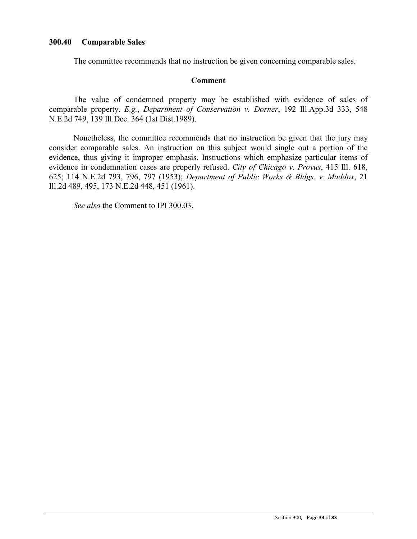### **300.40 Comparable Sales**

The committee recommends that no instruction be given concerning comparable sales.

#### **Comment**

The value of condemned property may be established with evidence of sales of comparable property. *E.g.*, *Department of Conservation v. Dorner*, 192 Ill.App.3d 333, 548 N.E.2d 749, 139 Ill.Dec. 364 (1st Dist.1989).

Nonetheless, the committee recommends that no instruction be given that the jury may consider comparable sales. An instruction on this subject would single out a portion of the evidence, thus giving it improper emphasis. Instructions which emphasize particular items of evidence in condemnation cases are properly refused. *City of Chicago v. Provus*, 415 Ill. 618, 625; 114 N.E.2d 793, 796, 797 (1953); *Department of Public Works & Bldgs. v. Maddox*, 21 Ill.2d 489, 495, 173 N.E.2d 448, 451 (1961).

*See also* the Comment to IPI 300.03.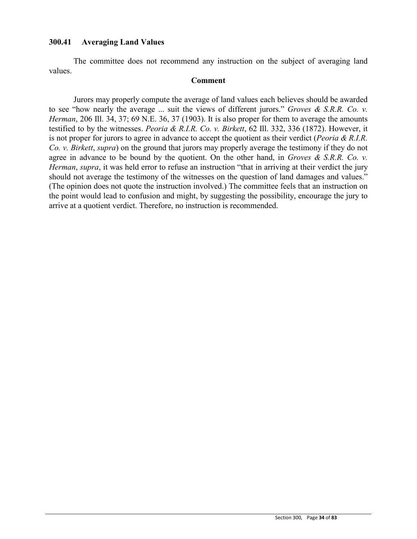### **300.41 Averaging Land Values**

The committee does not recommend any instruction on the subject of averaging land values.

#### **Comment**

Jurors may properly compute the average of land values each believes should be awarded to see "how nearly the average ... suit the views of different jurors." *Groves & S.R.R. Co. v. Herman*, 206 Ill. 34, 37; 69 N.E. 36, 37 (1903). It is also proper for them to average the amounts testified to by the witnesses. *Peoria & R.I.R. Co. v. Birkett*, 62 Ill. 332, 336 (1872). However, it is not proper for jurors to agree in advance to accept the quotient as their verdict (*Peoria & R.I.R. Co. v. Birkett*, *supra*) on the ground that jurors may properly average the testimony if they do not agree in advance to be bound by the quotient. On the other hand, in *Groves & S.R.R. Co. v. Herman*, *supra*, it was held error to refuse an instruction "that in arriving at their verdict the jury should not average the testimony of the witnesses on the question of land damages and values." (The opinion does not quote the instruction involved.) The committee feels that an instruction on the point would lead to confusion and might, by suggesting the possibility, encourage the jury to arrive at a quotient verdict. Therefore, no instruction is recommended.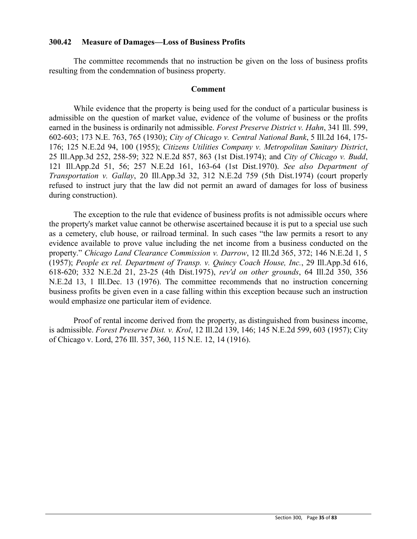#### **300.42 Measure of Damages—Loss of Business Profits**

The committee recommends that no instruction be given on the loss of business profits resulting from the condemnation of business property.

#### **Comment**

While evidence that the property is being used for the conduct of a particular business is admissible on the question of market value, evidence of the volume of business or the profits earned in the business is ordinarily not admissible. *Forest Preserve District v. Hahn*, 341 Ill. 599, 602-603; 173 N.E. 763, 765 (1930); *City of Chicago v. Central National Bank*, 5 Ill.2d 164, 175- 176; 125 N.E.2d 94, 100 (1955); *Citizens Utilities Company v. Metropolitan Sanitary District*, 25 Ill.App.3d 252, 258-59; 322 N.E.2d 857, 863 (1st Dist.1974); and *City of Chicago v. Budd*, 121 Ill.App.2d 51, 56; 257 N.E.2d 161, 163-64 (1st Dist.1970). *See also Department of Transportation v. Gallay*, 20 Ill.App.3d 32, 312 N.E.2d 759 (5th Dist.1974) (court properly refused to instruct jury that the law did not permit an award of damages for loss of business during construction).

The exception to the rule that evidence of business profits is not admissible occurs where the property's market value cannot be otherwise ascertained because it is put to a special use such as a cemetery, club house, or railroad terminal. In such cases "the law permits a resort to any evidence available to prove value including the net income from a business conducted on the property." *Chicago Land Clearance Commission v. Darrow*, 12 Ill.2d 365, 372; 146 N.E.2d 1, 5 (1957); *People ex rel. Department of Transp. v. Quincy Coach House, Inc.*, 29 Ill.App.3d 616, 618-620; 332 N.E.2d 21, 23-25 (4th Dist.1975), *rev'd on other grounds*, 64 Ill.2d 350, 356 N.E.2d 13, 1 Ill.Dec. 13 (1976). The committee recommends that no instruction concerning business profits be given even in a case falling within this exception because such an instruction would emphasize one particular item of evidence.

Proof of rental income derived from the property, as distinguished from business income, is admissible. *Forest Preserve Dist. v. Krol*, 12 Ill.2d 139, 146; 145 N.E.2d 599, 603 (1957); City of Chicago v. Lord, 276 Ill. 357, 360, 115 N.E. 12, 14 (1916).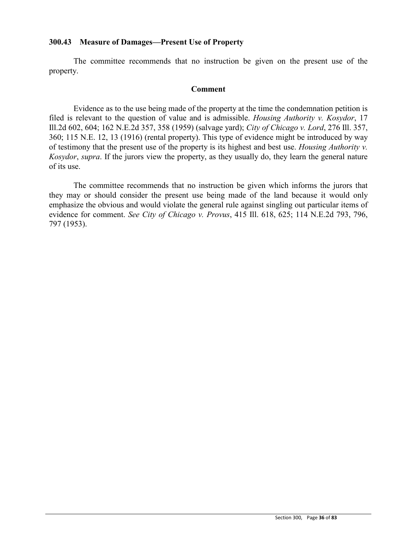### **300.43 Measure of Damages—Present Use of Property**

The committee recommends that no instruction be given on the present use of the property.

#### **Comment**

Evidence as to the use being made of the property at the time the condemnation petition is filed is relevant to the question of value and is admissible. *Housing Authority v. Kosydor*, 17 Ill.2d 602, 604; 162 N.E.2d 357, 358 (1959) (salvage yard); *City of Chicago v. Lord*, 276 Ill. 357, 360; 115 N.E. 12, 13 (1916) (rental property). This type of evidence might be introduced by way of testimony that the present use of the property is its highest and best use. *Housing Authority v. Kosydor*, *supra*. If the jurors view the property, as they usually do, they learn the general nature of its use.

The committee recommends that no instruction be given which informs the jurors that they may or should consider the present use being made of the land because it would only emphasize the obvious and would violate the general rule against singling out particular items of evidence for comment. *See City of Chicago v. Provus*, 415 Ill. 618, 625; 114 N.E.2d 793, 796, 797 (1953).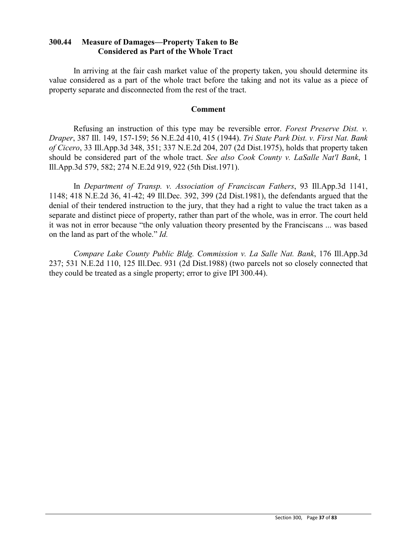## **300.44 Measure of Damages—Property Taken to Be Considered as Part of the Whole Tract**

In arriving at the fair cash market value of the property taken, you should determine its value considered as a part of the whole tract before the taking and not its value as a piece of property separate and disconnected from the rest of the tract.

#### **Comment**

Refusing an instruction of this type may be reversible error. *Forest Preserve Dist. v. Draper*, 387 Ill. 149, 157-159; 56 N.E.2d 410, 415 (1944). *Tri State Park Dist. v. First Nat. Bank of Cicero*, 33 Ill.App.3d 348, 351; 337 N.E.2d 204, 207 (2d Dist.1975), holds that property taken should be considered part of the whole tract. *See also Cook County v. LaSalle Nat'l Bank*, 1 Ill.App.3d 579, 582; 274 N.E.2d 919, 922 (5th Dist.1971).

In *Department of Transp. v. Association of Franciscan Fathers*, 93 Ill.App.3d 1141, 1148; 418 N.E.2d 36, 41-42; 49 Ill.Dec. 392, 399 (2d Dist.1981), the defendants argued that the denial of their tendered instruction to the jury, that they had a right to value the tract taken as a separate and distinct piece of property, rather than part of the whole, was in error. The court held it was not in error because "the only valuation theory presented by the Franciscans ... was based on the land as part of the whole." *Id.*

*Compare Lake County Public Bldg. Commission v. La Salle Nat. Bank*, 176 Ill.App.3d 237; 531 N.E.2d 110, 125 Ill.Dec. 931 (2d Dist.1988) (two parcels not so closely connected that they could be treated as a single property; error to give IPI 300.44).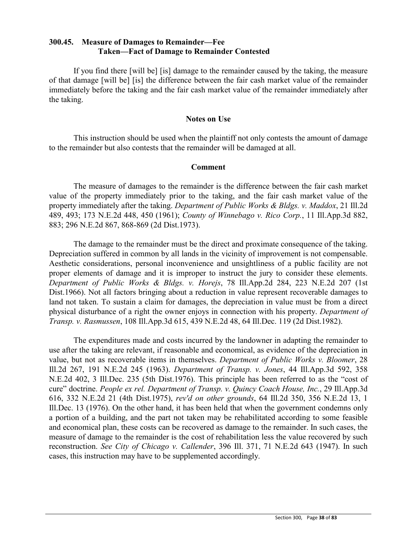### **300.45. Measure of Damages to Remainder—Fee Taken—Fact of Damage to Remainder Contested**

If you find there [will be] [is] damage to the remainder caused by the taking, the measure of that damage [will be] [is] the difference between the fair cash market value of the remainder immediately before the taking and the fair cash market value of the remainder immediately after the taking.

#### **Notes on Use**

This instruction should be used when the plaintiff not only contests the amount of damage to the remainder but also contests that the remainder will be damaged at all.

#### **Comment**

The measure of damages to the remainder is the difference between the fair cash market value of the property immediately prior to the taking, and the fair cash market value of the property immediately after the taking. *Department of Public Works & Bldgs. v. Maddox*, 21 Ill.2d 489, 493; 173 N.E.2d 448, 450 (1961); *County of Winnebago v. Rico Corp.*, 11 Ill.App.3d 882, 883; 296 N.E.2d 867, 868-869 (2d Dist.1973).

The damage to the remainder must be the direct and proximate consequence of the taking. Depreciation suffered in common by all lands in the vicinity of improvement is not compensable. Aesthetic considerations, personal inconvenience and unsightliness of a public facility are not proper elements of damage and it is improper to instruct the jury to consider these elements. *Department of Public Works & Bldgs. v. Horejs*, 78 Ill.App.2d 284, 223 N.E.2d 207 (1st Dist.1966). Not all factors bringing about a reduction in value represent recoverable damages to land not taken. To sustain a claim for damages, the depreciation in value must be from a direct physical disturbance of a right the owner enjoys in connection with his property. *Department of Transp. v. Rasmussen*, 108 Ill.App.3d 615, 439 N.E.2d 48, 64 Ill.Dec. 119 (2d Dist.1982).

The expenditures made and costs incurred by the landowner in adapting the remainder to use after the taking are relevant, if reasonable and economical, as evidence of the depreciation in value, but not as recoverable items in themselves. *Department of Public Works v. Bloomer*, 28 Ill.2d 267, 191 N.E.2d 245 (1963). *Department of Transp. v. Jones*, 44 Ill.App.3d 592, 358 N.E.2d 402, 3 Ill.Dec. 235 (5th Dist.1976). This principle has been referred to as the "cost of cure" doctrine. *People ex rel. Department of Transp. v. Quincy Coach House, Inc.*, 29 Ill.App.3d 616, 332 N.E.2d 21 (4th Dist.1975), *rev'd on other grounds*, 64 Ill.2d 350, 356 N.E.2d 13, 1 Ill.Dec. 13 (1976). On the other hand, it has been held that when the government condemns only a portion of a building, and the part not taken may be rehabilitated according to some feasible and economical plan, these costs can be recovered as damage to the remainder. In such cases, the measure of damage to the remainder is the cost of rehabilitation less the value recovered by such reconstruction. *See City of Chicago v. Callender*, 396 Ill. 371, 71 N.E.2d 643 (1947). In such cases, this instruction may have to be supplemented accordingly.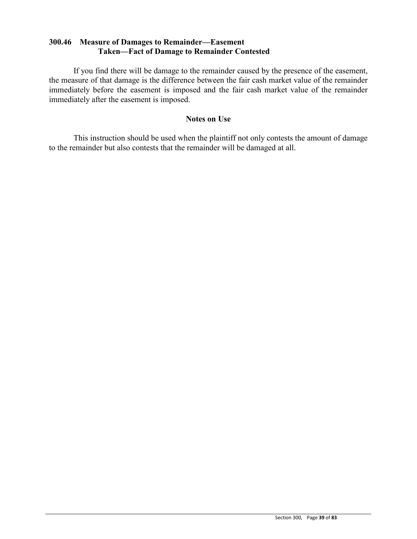### **300.46 Measure of Damages to Remainder—Easement Taken—Fact of Damage to Remainder Contested**

If you find there will be damage to the remainder caused by the presence of the easement, the measure of that damage is the difference between the fair cash market value of the remainder immediately before the easement is imposed and the fair cash market value of the remainder immediately after the easement is imposed.

### **Notes on Use**

This instruction should be used when the plaintiff not only contests the amount of damage to the remainder but also contests that the remainder will be damaged at all.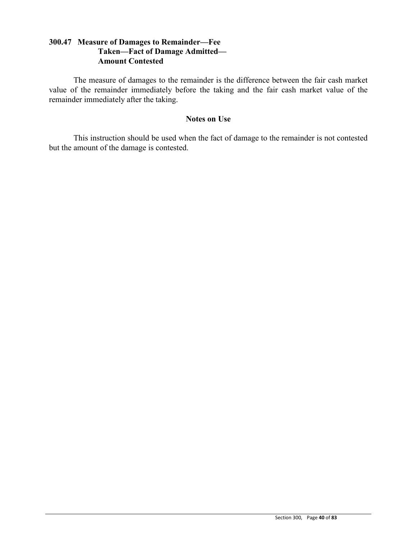# **300.47 Measure of Damages to Remainder—Fee Taken—Fact of Damage Admitted— Amount Contested**

The measure of damages to the remainder is the difference between the fair cash market value of the remainder immediately before the taking and the fair cash market value of the remainder immediately after the taking.

#### **Notes on Use**

This instruction should be used when the fact of damage to the remainder is not contested but the amount of the damage is contested.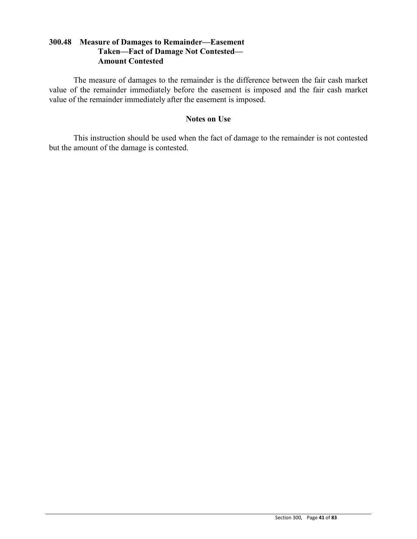# **300.48 Measure of Damages to Remainder—Easement Taken—Fact of Damage Not Contested— Amount Contested**

The measure of damages to the remainder is the difference between the fair cash market value of the remainder immediately before the easement is imposed and the fair cash market value of the remainder immediately after the easement is imposed.

### **Notes on Use**

This instruction should be used when the fact of damage to the remainder is not contested but the amount of the damage is contested.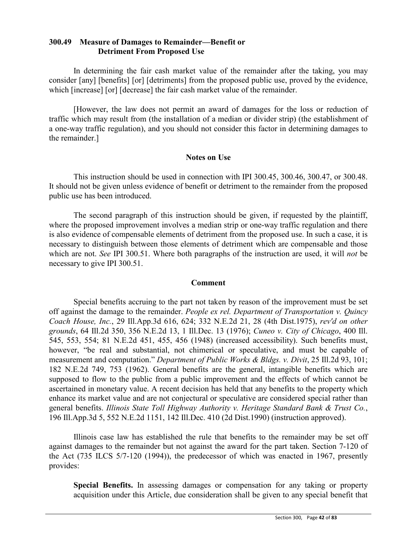### **300.49 Measure of Damages to Remainder—Benefit or Detriment From Proposed Use**

In determining the fair cash market value of the remainder after the taking, you may consider [any] [benefits] [or] [detriments] from the proposed public use, proved by the evidence, which [increase] [or] [decrease] the fair cash market value of the remainder.

[However, the law does not permit an award of damages for the loss or reduction of traffic which may result from (the installation of a median or divider strip) (the establishment of a one-way traffic regulation), and you should not consider this factor in determining damages to the remainder.]

### **Notes on Use**

This instruction should be used in connection with IPI 300.45, 300.46, 300.47, or 300.48. It should not be given unless evidence of benefit or detriment to the remainder from the proposed public use has been introduced.

The second paragraph of this instruction should be given, if requested by the plaintiff, where the proposed improvement involves a median strip or one-way traffic regulation and there is also evidence of compensable elements of detriment from the proposed use. In such a case, it is necessary to distinguish between those elements of detriment which are compensable and those which are not. *See* IPI 300.51. Where both paragraphs of the instruction are used, it will *not* be necessary to give IPI 300.51.

### **Comment**

Special benefits accruing to the part not taken by reason of the improvement must be set off against the damage to the remainder. *People ex rel. Department of Transportation v. Quincy Coach House, Inc.*, 29 Ill.App.3d 616, 624; 332 N.E.2d 21, 28 (4th Dist.1975), *rev'd on other grounds*, 64 Ill.2d 350, 356 N.E.2d 13, 1 Ill.Dec. 13 (1976); *Cuneo v. City of Chicago*, 400 Ill. 545, 553, 554; 81 N.E.2d 451, 455, 456 (1948) (increased accessibility). Such benefits must, however, "be real and substantial, not chimerical or speculative, and must be capable of measurement and computation." *Department of Public Works & Bldgs. v. Divit*, 25 Ill.2d 93, 101; 182 N.E.2d 749, 753 (1962). General benefits are the general, intangible benefits which are supposed to flow to the public from a public improvement and the effects of which cannot be ascertained in monetary value. A recent decision has held that any benefits to the property which enhance its market value and are not conjectural or speculative are considered special rather than general benefits. *Illinois State Toll Highway Authority v. Heritage Standard Bank & Trust Co.*, 196 Ill.App.3d 5, 552 N.E.2d 1151, 142 Ill.Dec. 410 (2d Dist.1990) (instruction approved).

Illinois case law has established the rule that benefits to the remainder may be set off against damages to the remainder but not against the award for the part taken. Section 7-120 of the Act (735 ILCS 5/7-120 (1994)), the predecessor of which was enacted in 1967, presently provides:

**Special Benefits.** In assessing damages or compensation for any taking or property acquisition under this Article, due consideration shall be given to any special benefit that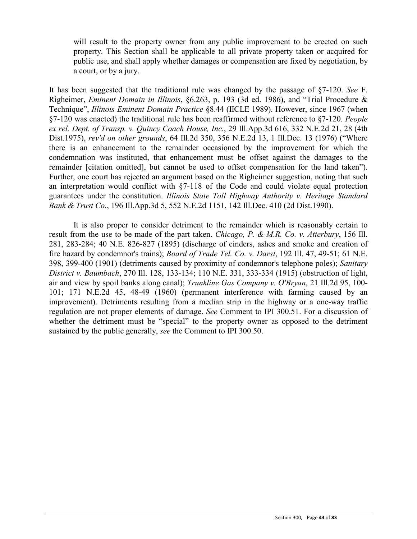will result to the property owner from any public improvement to be erected on such property. This Section shall be applicable to all private property taken or acquired for public use, and shall apply whether damages or compensation are fixed by negotiation, by a court, or by a jury.

It has been suggested that the traditional rule was changed by the passage of §7-120. *See* F. Righeimer, *Eminent Domain in Illinois*, §6.263, p. 193 (3d ed. 1986), and "Trial Procedure & Technique", *Illinois Eminent Domain Practice* §8.44 (IICLE 1989). However, since 1967 (when §7-120 was enacted) the traditional rule has been reaffirmed without reference to §7-120. *People ex rel. Dept. of Transp. v. Quincy Coach House, Inc.*, 29 Ill.App.3d 616, 332 N.E.2d 21, 28 (4th Dist.1975), *rev'd on other grounds*, 64 Ill.2d 350, 356 N.E.2d 13, 1 Ill.Dec. 13 (1976) ("Where there is an enhancement to the remainder occasioned by the improvement for which the condemnation was instituted, that enhancement must be offset against the damages to the remainder [citation omitted], but cannot be used to offset compensation for the land taken"). Further, one court has rejected an argument based on the Righeimer suggestion, noting that such an interpretation would conflict with  $\S$ 7-118 of the Code and could violate equal protection guarantees under the constitution. *Illinois State Toll Highway Authority v. Heritage Standard Bank & Trust Co.*, 196 Ill.App.3d 5, 552 N.E.2d 1151, 142 Ill.Dec. 410 (2d Dist.1990).

It is also proper to consider detriment to the remainder which is reasonably certain to result from the use to be made of the part taken. *Chicago, P. & M.R. Co. v. Atterbury*, 156 Ill. 281, 283-284; 40 N.E. 826-827 (1895) (discharge of cinders, ashes and smoke and creation of fire hazard by condemnor's trains); *Board of Trade Tel. Co. v. Darst*, 192 Ill. 47, 49-51; 61 N.E. 398, 399-400 (1901) (detriments caused by proximity of condemnor's telephone poles); *Sanitary District v. Baumbach*, 270 Ill. 128, 133-134; 110 N.E. 331, 333-334 (1915) (obstruction of light, air and view by spoil banks along canal); *Trunkline Gas Company v. O'Bryan*, 21 Ill.2d 95, 100- 101; 171 N.E.2d 45, 48-49 (1960) (permanent interference with farming caused by an improvement). Detriments resulting from a median strip in the highway or a one-way traffic regulation are not proper elements of damage. *See* Comment to IPI 300.51. For a discussion of whether the detriment must be "special" to the property owner as opposed to the detriment sustained by the public generally, *see* the Comment to IPI 300.50.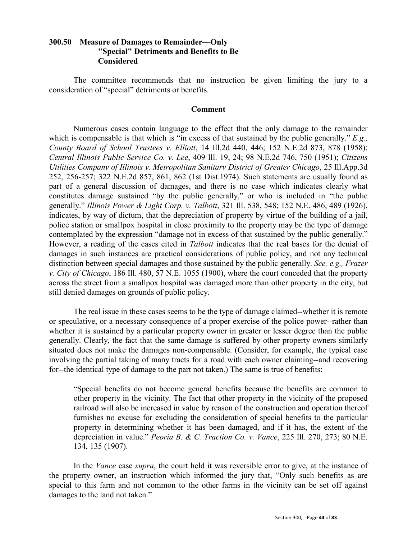# **300.50 Measure of Damages to Remainder—Only "Special" Detriments and Benefits to Be Considered**

The committee recommends that no instruction be given limiting the jury to a consideration of "special" detriments or benefits.

#### **Comment**

Numerous cases contain language to the effect that the only damage to the remainder which is compensable is that which is "in excess of that sustained by the public generally." *E.g., County Board of School Trustees v. Elliott*, 14 Ill.2d 440, 446; 152 N.E.2d 873, 878 (1958); *Central Illinois Public Service Co. v. Lee*, 409 Ill. 19, 24; 98 N.E.2d 746, 750 (1951); *Citizens Utilities Company of Illinois v. Metropolitan Sanitary District of Greater Chicago*, 25 Ill.App.3d 252, 256-257; 322 N.E.2d 857, 861, 862 (1st Dist.1974). Such statements are usually found as part of a general discussion of damages, and there is no case which indicates clearly what constitutes damage sustained "by the public generally," or who is included in "the public generally." *Illinois Power & Light Corp. v. Talbott*, 321 Ill. 538, 548; 152 N.E. 486, 489 (1926), indicates, by way of dictum, that the depreciation of property by virtue of the building of a jail, police station or smallpox hospital in close proximity to the property may be the type of damage contemplated by the expression "damage not in excess of that sustained by the public generally." However, a reading of the cases cited in *Talbott* indicates that the real bases for the denial of damages in such instances are practical considerations of public policy, and not any technical distinction between special damages and those sustained by the public generally. *See, e.g., Frazer v. City of Chicago*, 186 Ill. 480, 57 N.E. 1055 (1900), where the court conceded that the property across the street from a smallpox hospital was damaged more than other property in the city, but still denied damages on grounds of public policy.

The real issue in these cases seems to be the type of damage claimed--whether it is remote or speculative, or a necessary consequence of a proper exercise of the police power--rather than whether it is sustained by a particular property owner in greater or lesser degree than the public generally. Clearly, the fact that the same damage is suffered by other property owners similarly situated does not make the damages non-compensable. (Consider, for example, the typical case involving the partial taking of many tracts for a road with each owner claiming--and recovering for--the identical type of damage to the part not taken.) The same is true of benefits:

"Special benefits do not become general benefits because the benefits are common to other property in the vicinity. The fact that other property in the vicinity of the proposed railroad will also be increased in value by reason of the construction and operation thereof furnishes no excuse for excluding the consideration of special benefits to the particular property in determining whether it has been damaged, and if it has, the extent of the depreciation in value." *Peoria B. & C. Traction Co. v. Vance*, 225 Ill. 270, 273; 80 N.E. 134, 135 (1907).

In the *Vance* case *supra*, the court held it was reversible error to give, at the instance of the property owner, an instruction which informed the jury that, "Only such benefits as are special to this farm and not common to the other farms in the vicinity can be set off against damages to the land not taken."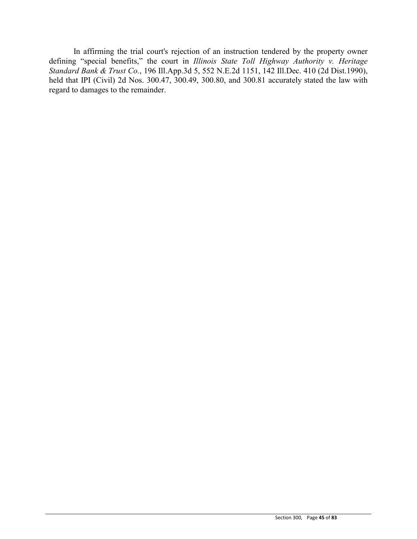In affirming the trial court's rejection of an instruction tendered by the property owner defining "special benefits," the court in *Illinois State Toll Highway Authority v. Heritage Standard Bank & Trust Co.*, 196 Ill.App.3d 5, 552 N.E.2d 1151, 142 Ill.Dec. 410 (2d Dist.1990), held that IPI (Civil) 2d Nos. 300.47, 300.49, 300.80, and 300.81 accurately stated the law with regard to damages to the remainder.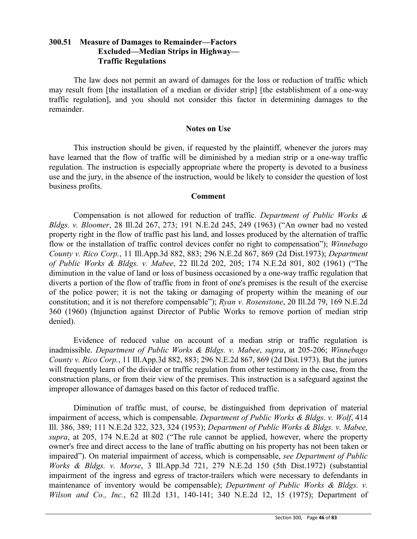# **300.51 Measure of Damages to Remainder—Factors Excluded—Median Strips in Highway— Traffic Regulations**

The law does not permit an award of damages for the loss or reduction of traffic which may result from [the installation of a median or divider strip] [the establishment of a one-way traffic regulation], and you should not consider this factor in determining damages to the remainder.

#### **Notes on Use**

This instruction should be given, if requested by the plaintiff, whenever the jurors may have learned that the flow of traffic will be diminished by a median strip or a one-way traffic regulation. The instruction is especially appropriate where the property is devoted to a business use and the jury, in the absence of the instruction, would be likely to consider the question of lost business profits.

#### **Comment**

Compensation is not allowed for reduction of traffic. *Department of Public Works & Bldgs. v. Bloomer*, 28 Ill.2d 267, 273; 191 N.E.2d 245, 249 (1963) ("An owner had no vested property right in the flow of traffic past his land, and losses produced by the alternation of traffic flow or the installation of traffic control devices confer no right to compensation"); *Winnebago County v. Rico Corp.*, 11 Ill.App.3d 882, 883; 296 N.E.2d 867, 869 (2d Dist.1973); *Department of Public Works & Bldgs. v. Mabee*, 22 Ill.2d 202, 205; 174 N.E.2d 801, 802 (1961) ("The diminution in the value of land or loss of business occasioned by a one-way traffic regulation that diverts a portion of the flow of traffic from in front of one's premises is the result of the exercise of the police power; it is not the taking or damaging of property within the meaning of our constitution; and it is not therefore compensable"); *Ryan v. Rosenstone*, 20 Ill.2d 79, 169 N.E.2d 360 (1960) (Injunction against Director of Public Works to remove portion of median strip denied).

Evidence of reduced value on account of a median strip or traffic regulation is inadmissible. *Department of Public Works & Bldgs. v. Mabee*, *supra*, at 205-206; *Winnebago County v. Rico Corp.*, 11 Ill.App.3d 882, 883; 296 N.E.2d 867, 869 (2d Dist.1973). But the jurors will frequently learn of the divider or traffic regulation from other testimony in the case, from the construction plans, or from their view of the premises. This instruction is a safeguard against the improper allowance of damages based on this factor of reduced traffic.

Diminution of traffic must, of course, be distinguished from deprivation of material impairment of access, which is compensable. *Department of Public Works & Bldgs. v. Wolf*, 414 Ill. 386, 389; 111 N.E.2d 322, 323, 324 (1953); *Department of Public Works & Bldgs. v. Mabee, supra*, at 205, 174 N.E.2d at 802 ("The rule cannot be applied, however, where the property owner's free and direct access to the lane of traffic abutting on his property has not been taken or impaired"). On material impairment of access, which is compensable, *see Department of Public Works & Bldgs. v. Morse*, 3 Ill.App.3d 721, 279 N.E.2d 150 (5th Dist.1972) (substantial impairment of the ingress and egress of tractor-trailers which were necessary to defendants in maintenance of inventory would be compensable); *Department of Public Works & Bldgs. v. Wilson and Co., Inc.*, 62 Ill.2d 131, 140-141; 340 N.E.2d 12, 15 (1975); Department of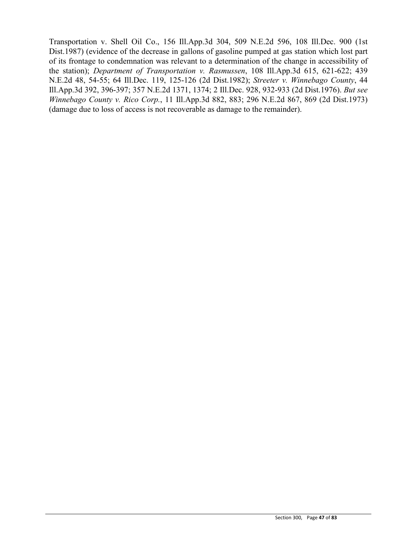Transportation v. Shell Oil Co., 156 Ill.App.3d 304, 509 N.E.2d 596, 108 Ill.Dec. 900 (1st Dist.1987) (evidence of the decrease in gallons of gasoline pumped at gas station which lost part of its frontage to condemnation was relevant to a determination of the change in accessibility of the station); *Department of Transportation v. Rasmussen*, 108 Ill.App.3d 615, 621-622; 439 N.E.2d 48, 54-55; 64 Ill.Dec. 119, 125-126 (2d Dist.1982); *Streeter v. Winnebago County*, 44 Ill.App.3d 392, 396-397; 357 N.E.2d 1371, 1374; 2 Ill.Dec. 928, 932-933 (2d Dist.1976). *But see Winnebago County v. Rico Corp.*, 11 Ill.App.3d 882, 883; 296 N.E.2d 867, 869 (2d Dist.1973) (damage due to loss of access is not recoverable as damage to the remainder).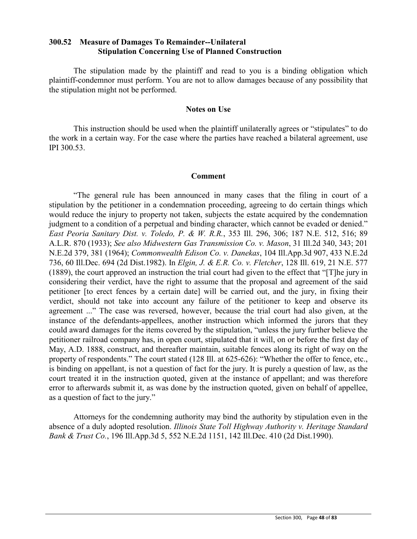### **300.52 Measure of Damages To Remainder--Unilateral Stipulation Concerning Use of Planned Construction**

The stipulation made by the plaintiff and read to you is a binding obligation which plaintiff-condemnor must perform. You are not to allow damages because of any possibility that the stipulation might not be performed.

#### **Notes on Use**

This instruction should be used when the plaintiff unilaterally agrees or "stipulates" to do the work in a certain way. For the case where the parties have reached a bilateral agreement, use IPI 300.53.

#### **Comment**

"The general rule has been announced in many cases that the filing in court of a stipulation by the petitioner in a condemnation proceeding, agreeing to do certain things which would reduce the injury to property not taken, subjects the estate acquired by the condemnation judgment to a condition of a perpetual and binding character, which cannot be evaded or denied." *East Peoria Sanitary Dist. v. Toledo, P. & W. R.R.*, 353 Ill. 296, 306; 187 N.E. 512, 516; 89 A.L.R. 870 (1933); *See also Midwestern Gas Transmission Co. v. Mason*, 31 Ill.2d 340, 343; 201 N.E.2d 379, 381 (1964); *Commonwealth Edison Co. v. Danekas*, 104 Ill.App.3d 907, 433 N.E.2d 736, 60 Ill.Dec. 694 (2d Dist.1982). In *Elgin, J. & E.R. Co. v. Fletcher*, 128 Ill. 619, 21 N.E. 577 (1889), the court approved an instruction the trial court had given to the effect that "[T]he jury in considering their verdict, have the right to assume that the proposal and agreement of the said petitioner [to erect fences by a certain date] will be carried out, and the jury, in fixing their verdict, should not take into account any failure of the petitioner to keep and observe its agreement ..." The case was reversed, however, because the trial court had also given, at the instance of the defendants-appellees, another instruction which informed the jurors that they could award damages for the items covered by the stipulation, "unless the jury further believe the petitioner railroad company has, in open court, stipulated that it will, on or before the first day of May, A.D. 1888, construct, and thereafter maintain, suitable fences along its right of way on the property of respondents." The court stated (128 Ill. at 625-626): "Whether the offer to fence, etc., is binding on appellant, is not a question of fact for the jury. It is purely a question of law, as the court treated it in the instruction quoted, given at the instance of appellant; and was therefore error to afterwards submit it, as was done by the instruction quoted, given on behalf of appellee, as a question of fact to the jury."

Attorneys for the condemning authority may bind the authority by stipulation even in the absence of a duly adopted resolution. *Illinois State Toll Highway Authority v. Heritage Standard Bank & Trust Co.*, 196 Ill.App.3d 5, 552 N.E.2d 1151, 142 Ill.Dec. 410 (2d Dist.1990).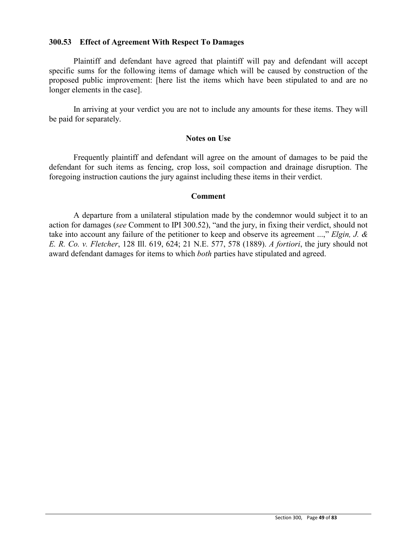### **300.53 Effect of Agreement With Respect To Damages**

Plaintiff and defendant have agreed that plaintiff will pay and defendant will accept specific sums for the following items of damage which will be caused by construction of the proposed public improvement: [here list the items which have been stipulated to and are no longer elements in the case].

In arriving at your verdict you are not to include any amounts for these items. They will be paid for separately.

#### **Notes on Use**

Frequently plaintiff and defendant will agree on the amount of damages to be paid the defendant for such items as fencing, crop loss, soil compaction and drainage disruption. The foregoing instruction cautions the jury against including these items in their verdict.

### **Comment**

A departure from a unilateral stipulation made by the condemnor would subject it to an action for damages (*see* Comment to IPI 300.52), "and the jury, in fixing their verdict, should not take into account any failure of the petitioner to keep and observe its agreement ...," *Elgin, J. & E. R. Co. v. Fletcher*, 128 Ill. 619, 624; 21 N.E. 577, 578 (1889). *A fortiori*, the jury should not award defendant damages for items to which *both* parties have stipulated and agreed.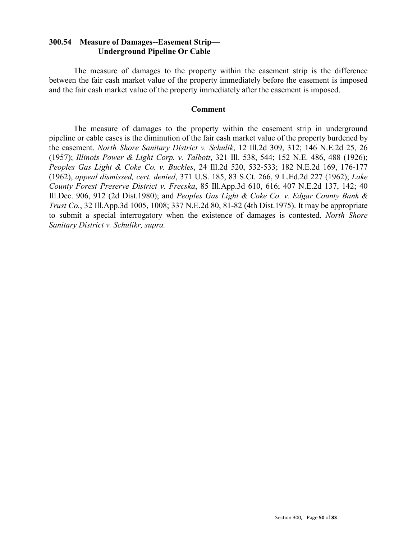### **300.54 Measure of Damages--Easement Strip— Underground Pipeline Or Cable**

The measure of damages to the property within the easement strip is the difference between the fair cash market value of the property immediately before the easement is imposed and the fair cash market value of the property immediately after the easement is imposed.

#### **Comment**

The measure of damages to the property within the easement strip in underground pipeline or cable cases is the diminution of the fair cash market value of the property burdened by the easement. *North Shore Sanitary District v. Schulik*, 12 Ill.2d 309, 312; 146 N.E.2d 25, 26 (1957); *Illinois Power & Light Corp. v. Talbott*, 321 Ill. 538, 544; 152 N.E. 486, 488 (1926); *Peoples Gas Light & Coke Co. v. Buckles*, 24 Ill.2d 520, 532-533; 182 N.E.2d 169, 176-177 (1962), *appeal dismissed, cert. denied*, 371 U.S. 185, 83 S.Ct. 266, 9 L.Ed.2d 227 (1962); *Lake County Forest Preserve District v. Frecska*, 85 Ill.App.3d 610, 616; 407 N.E.2d 137, 142; 40 Ill.Dec. 906, 912 (2d Dist.1980); and *Peoples Gas Light & Coke Co. v. Edgar County Bank & Trust Co.*, 32 Ill.App.3d 1005, 1008; 337 N.E.2d 80, 81-82 (4th Dist.1975). It may be appropriate to submit a special interrogatory when the existence of damages is contested. *North Shore Sanitary District v. Schulikr, supra.*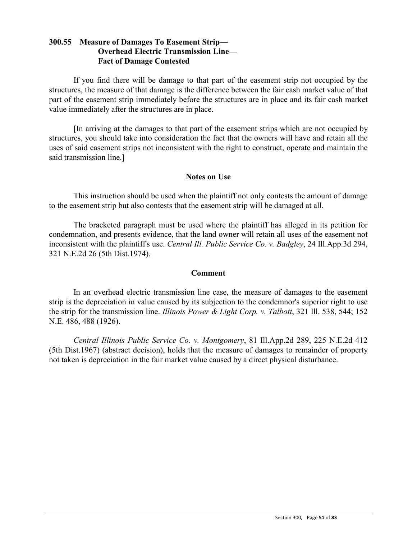## **300.55 Measure of Damages To Easement Strip— Overhead Electric Transmission Line— Fact of Damage Contested**

If you find there will be damage to that part of the easement strip not occupied by the structures, the measure of that damage is the difference between the fair cash market value of that part of the easement strip immediately before the structures are in place and its fair cash market value immediately after the structures are in place.

[In arriving at the damages to that part of the easement strips which are not occupied by structures, you should take into consideration the fact that the owners will have and retain all the uses of said easement strips not inconsistent with the right to construct, operate and maintain the said transmission line.]

### **Notes on Use**

This instruction should be used when the plaintiff not only contests the amount of damage to the easement strip but also contests that the easement strip will be damaged at all.

The bracketed paragraph must be used where the plaintiff has alleged in its petition for condemnation, and presents evidence, that the land owner will retain all uses of the easement not inconsistent with the plaintiff's use. *Central Ill. Public Service Co. v. Badgley*, 24 Ill.App.3d 294, 321 N.E.2d 26 (5th Dist.1974).

### **Comment**

In an overhead electric transmission line case, the measure of damages to the easement strip is the depreciation in value caused by its subjection to the condemnor's superior right to use the strip for the transmission line. *Illinois Power & Light Corp. v. Talbott*, 321 Ill. 538, 544; 152 N.E. 486, 488 (1926).

*Central Illinois Public Service Co. v. Montgomery*, 81 Ill.App.2d 289, 225 N.E.2d 412 (5th Dist.1967) (abstract decision), holds that the measure of damages to remainder of property not taken is depreciation in the fair market value caused by a direct physical disturbance.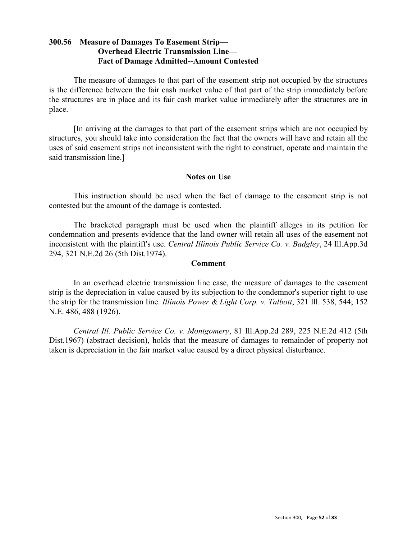## **300.56 Measure of Damages To Easement Strip— Overhead Electric Transmission Line— Fact of Damage Admitted--Amount Contested**

The measure of damages to that part of the easement strip not occupied by the structures is the difference between the fair cash market value of that part of the strip immediately before the structures are in place and its fair cash market value immediately after the structures are in place.

[In arriving at the damages to that part of the easement strips which are not occupied by structures, you should take into consideration the fact that the owners will have and retain all the uses of said easement strips not inconsistent with the right to construct, operate and maintain the said transmission line.]

### **Notes on Use**

This instruction should be used when the fact of damage to the easement strip is not contested but the amount of the damage is contested.

The bracketed paragraph must be used when the plaintiff alleges in its petition for condemnation and presents evidence that the land owner will retain all uses of the easement not inconsistent with the plaintiff's use. *Central Illinois Public Service Co. v. Badgley*, 24 Ill.App.3d 294, 321 N.E.2d 26 (5th Dist.1974).

### **Comment**

In an overhead electric transmission line case, the measure of damages to the easement strip is the depreciation in value caused by its subjection to the condemnor's superior right to use the strip for the transmission line. *Illinois Power & Light Corp. v. Talbott*, 321 Ill. 538, 544; 152 N.E. 486, 488 (1926).

*Central Ill. Public Service Co. v. Montgomery*, 81 Ill.App.2d 289, 225 N.E.2d 412 (5th Dist.1967) (abstract decision), holds that the measure of damages to remainder of property not taken is depreciation in the fair market value caused by a direct physical disturbance.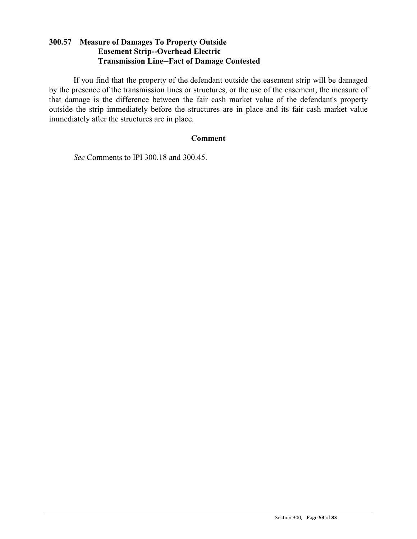## **300.57 Measure of Damages To Property Outside Easement Strip--Overhead Electric Transmission Line--Fact of Damage Contested**

If you find that the property of the defendant outside the easement strip will be damaged by the presence of the transmission lines or structures, or the use of the easement, the measure of that damage is the difference between the fair cash market value of the defendant's property outside the strip immediately before the structures are in place and its fair cash market value immediately after the structures are in place.

### **Comment**

*See* Comments to IPI 300.18 and 300.45.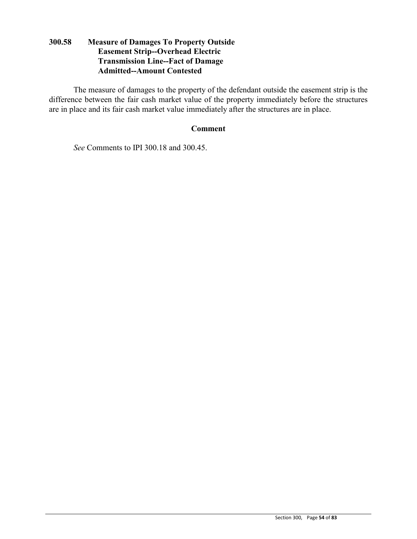## **300.58 Measure of Damages To Property Outside Easement Strip--Overhead Electric Transmission Line--Fact of Damage Admitted--Amount Contested**

The measure of damages to the property of the defendant outside the easement strip is the difference between the fair cash market value of the property immediately before the structures are in place and its fair cash market value immediately after the structures are in place.

### **Comment**

*See* Comments to IPI 300.18 and 300.45.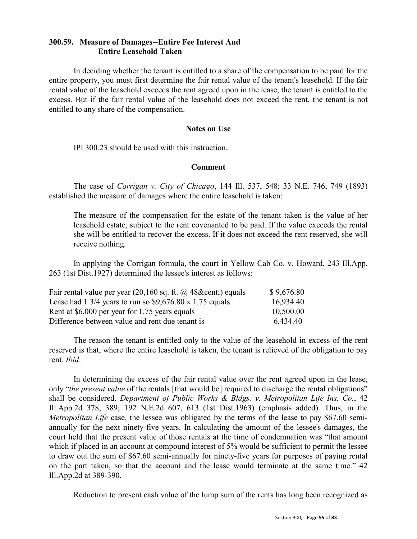## **300.59. Measure of Damages--Entire Fee Interest And Entire Leasehold Taken**

In deciding whether the tenant is entitled to a share of the compensation to be paid for the entire property, you must first determine the fair rental value of the tenant's leasehold. If the fair rental value of the leasehold exceeds the rent agreed upon in the lease, the tenant is entitled to the excess. But if the fair rental value of the leasehold does not exceed the rent, the tenant is not entitled to any share of the compensation.

#### **Notes on Use**

IPI 300.23 should be used with this instruction.

### **Comment**

The case of *Corrigan v. City of Chicago*, 144 Ill. 537, 548; 33 N.E. 746, 749 (1893) established the measure of damages where the entire leasehold is taken:

The measure of the compensation for the estate of the tenant taken is the value of her leasehold estate, subject to the rent covenanted to be paid. If the value exceeds the rental she will be entitled to recover the excess. If it does not exceed the rent reserved, she will receive nothing.

In applying the Corrigan formula, the court in Yellow Cab Co. v. Howard, 243 Ill.App. 263 (1st Dist.1927) determined the lessee's interest as follows:

| Fair rental value per year $(20,160 \text{ sq. ft. } \omega)$ 48& cent; equals | \$9,676.80 |
|--------------------------------------------------------------------------------|------------|
| Lease had 1 3/4 years to run so $$9,676.80 \times 1.75$ equals                 | 16,934.40  |
| Rent at \$6,000 per year for 1.75 years equals                                 | 10,500.00  |
| Difference between value and rent due tenant is                                | 6,434.40   |

The reason the tenant is entitled only to the value of the leasehold in excess of the rent reserved is that, where the entire leasehold is taken, the tenant is relieved of the obligation to pay rent. *Ibid*.

In determining the excess of the fair rental value over the rent agreed upon in the lease, only "*the present value* of the rentals [that would be] required to discharge the rental obligations" shall be considered. *Department of Public Works & Bldgs. v. Metropolitan Life Ins. Co.*, 42 Ill.App.2d 378, 389; 192 N.E.2d 607, 613 (1st Dist.1963) (emphasis added). Thus, in the *Metropolitan Life* case, the lessee was obligated by the terms of the lease to pay \$67.60 semiannually for the next ninety-five years. In calculating the amount of the lessee's damages, the court held that the present value of those rentals at the time of condemnation was "that amount which if placed in an account at compound interest of 5% would be sufficient to permit the lessee to draw out the sum of \$67.60 semi-annually for ninety-five years for purposes of paying rental on the part taken, so that the account and the lease would terminate at the same time." 42 Ill.App.2d at 389-390.

Reduction to present cash value of the lump sum of the rents has long been recognized as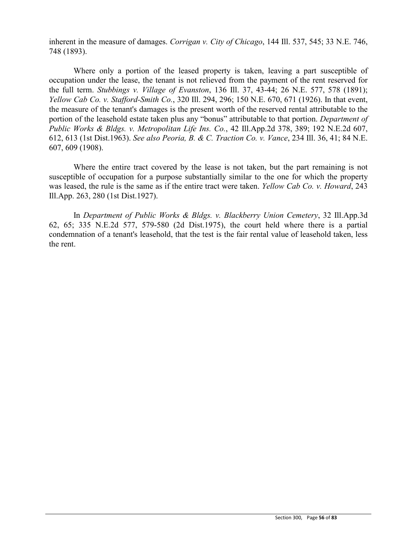inherent in the measure of damages. *Corrigan v. City of Chicago*, 144 Ill. 537, 545; 33 N.E. 746, 748 (1893).

Where only a portion of the leased property is taken, leaving a part susceptible of occupation under the lease, the tenant is not relieved from the payment of the rent reserved for the full term. *Stubbings v. Village of Evanston*, 136 Ill. 37, 43-44; 26 N.E. 577, 578 (1891); *Yellow Cab Co. v. Stafford-Smith Co.*, 320 Ill. 294, 296; 150 N.E. 670, 671 (1926). In that event, the measure of the tenant's damages is the present worth of the reserved rental attributable to the portion of the leasehold estate taken plus any "bonus" attributable to that portion. *Department of Public Works & Bldgs. v. Metropolitan Life Ins. Co.*, 42 Ill.App.2d 378, 389; 192 N.E.2d 607, 612, 613 (1st Dist.1963). *See also Peoria, B. & C. Traction Co. v. Vance*, 234 Ill. 36, 41; 84 N.E. 607, 609 (1908).

Where the entire tract covered by the lease is not taken, but the part remaining is not susceptible of occupation for a purpose substantially similar to the one for which the property was leased, the rule is the same as if the entire tract were taken. *Yellow Cab Co. v. Howard*, 243 Ill.App. 263, 280 (1st Dist.1927).

In *Department of Public Works & Bldgs. v. Blackberry Union Cemetery*, 32 Ill.App.3d 62, 65; 335 N.E.2d 577, 579-580 (2d Dist.1975), the court held where there is a partial condemnation of a tenant's leasehold, that the test is the fair rental value of leasehold taken, less the rent.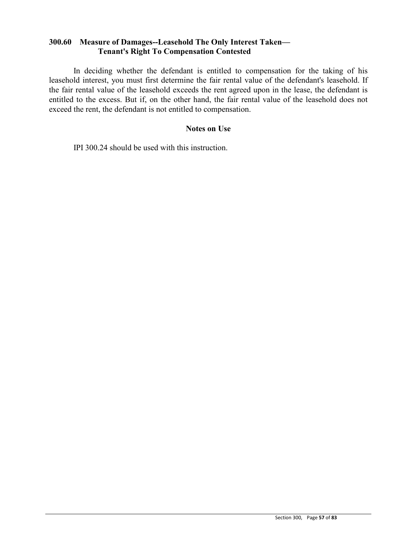### **300.60 Measure of Damages--Leasehold The Only Interest Taken— Tenant's Right To Compensation Contested**

In deciding whether the defendant is entitled to compensation for the taking of his leasehold interest, you must first determine the fair rental value of the defendant's leasehold. If the fair rental value of the leasehold exceeds the rent agreed upon in the lease, the defendant is entitled to the excess. But if, on the other hand, the fair rental value of the leasehold does not exceed the rent, the defendant is not entitled to compensation.

### **Notes on Use**

IPI 300.24 should be used with this instruction.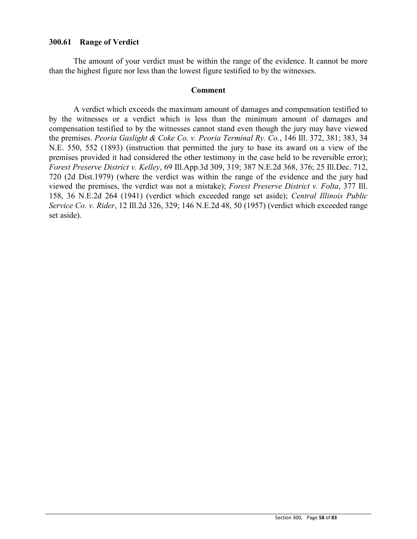### **300.61 Range of Verdict**

The amount of your verdict must be within the range of the evidence. It cannot be more than the highest figure nor less than the lowest figure testified to by the witnesses.

#### **Comment**

A verdict which exceeds the maximum amount of damages and compensation testified to by the witnesses or a verdict which is less than the minimum amount of damages and compensation testified to by the witnesses cannot stand even though the jury may have viewed the premises. *Peoria Gaslight & Coke Co. v. Peoria Terminal Ry. Co.*, 146 Ill. 372, 381; 383, 34 N.E. 550, 552 (1893) (instruction that permitted the jury to base its award on a view of the premises provided it had considered the other testimony in the case held to be reversible error); *Forest Preserve District v. Kelley*, 69 Ill.App.3d 309, 319; 387 N.E.2d 368, 376; 25 Ill.Dec. 712, 720 (2d Dist.1979) (where the verdict was within the range of the evidence and the jury had viewed the premises, the verdict was not a mistake); *Forest Preserve District v. Folta*, 377 Ill. 158, 36 N.E.2d 264 (1941) (verdict which exceeded range set aside); *Central Illinois Public Service Co. v. Rider*, 12 Ill.2d 326, 329; 146 N.E.2d 48, 50 (1957) (verdict which exceeded range set aside).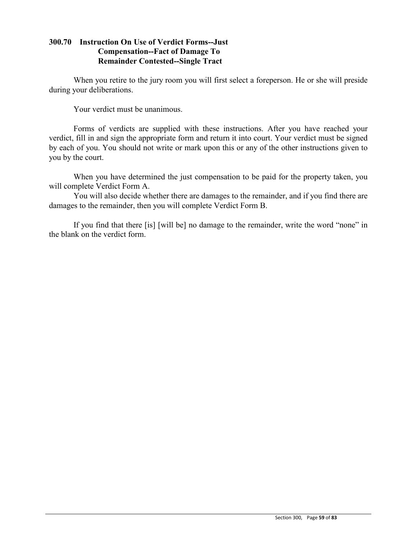## **300.70 Instruction On Use of Verdict Forms--Just Compensation--Fact of Damage To Remainder Contested--Single Tract**

When you retire to the jury room you will first select a foreperson. He or she will preside during your deliberations.

Your verdict must be unanimous.

Forms of verdicts are supplied with these instructions. After you have reached your verdict, fill in and sign the appropriate form and return it into court. Your verdict must be signed by each of you. You should not write or mark upon this or any of the other instructions given to you by the court.

When you have determined the just compensation to be paid for the property taken, you will complete Verdict Form A.

You will also decide whether there are damages to the remainder, and if you find there are damages to the remainder, then you will complete Verdict Form B.

If you find that there [is] [will be] no damage to the remainder, write the word "none" in the blank on the verdict form.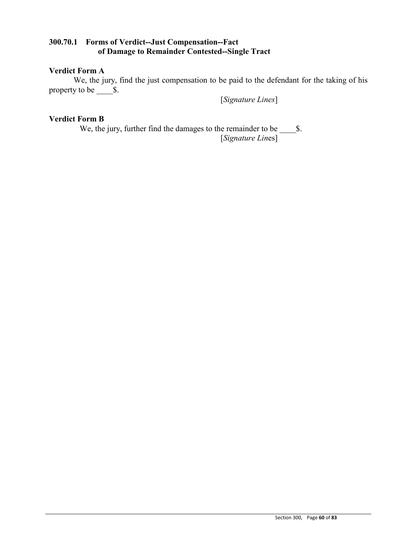## **300.70.1 Forms of Verdict--Just Compensation--Fact of Damage to Remainder Contested--Single Tract**

### **Verdict Form A**

We, the jury, find the just compensation to be paid to the defendant for the taking of his property to be  $\qquad$  \$.

[*Signature Lines*]

# **Verdict Form B**

We, the jury, further find the damages to the remainder to be \_\_\_\_\$. [*Signature Lin*es]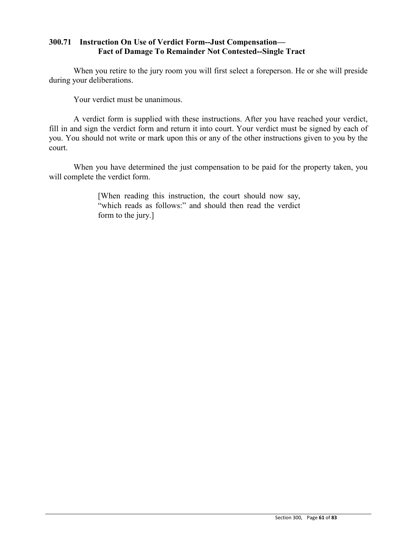## **300.71 Instruction On Use of Verdict Form--Just Compensation— Fact of Damage To Remainder Not Contested--Single Tract**

When you retire to the jury room you will first select a foreperson. He or she will preside during your deliberations.

Your verdict must be unanimous.

A verdict form is supplied with these instructions. After you have reached your verdict, fill in and sign the verdict form and return it into court. Your verdict must be signed by each of you. You should not write or mark upon this or any of the other instructions given to you by the court.

When you have determined the just compensation to be paid for the property taken, you will complete the verdict form.

> [When reading this instruction, the court should now say, "which reads as follows:" and should then read the verdict form to the jury.]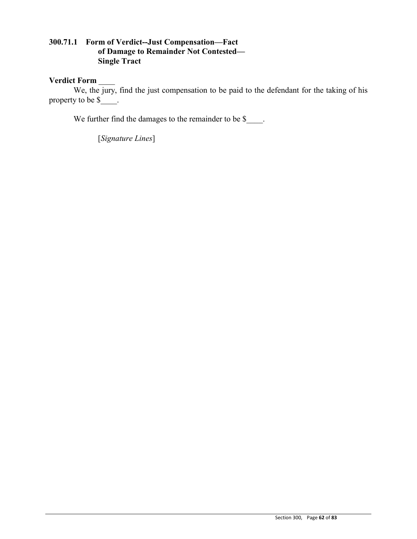## **300.71.1 Form of Verdict--Just Compensation—Fact of Damage to Remainder Not Contested— Single Tract**

### **Verdict Form** \_\_\_\_

We, the jury, find the just compensation to be paid to the defendant for the taking of his property to be \$

We further find the damages to the remainder to be \$.

[*Signature Lines*]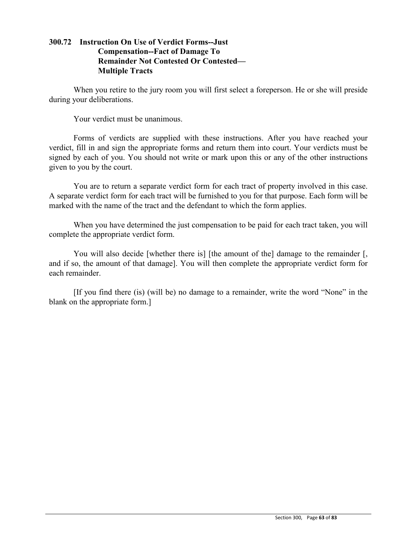## **300.72 Instruction On Use of Verdict Forms--Just Compensation--Fact of Damage To Remainder Not Contested Or Contested— Multiple Tracts**

When you retire to the jury room you will first select a foreperson. He or she will preside during your deliberations.

Your verdict must be unanimous.

Forms of verdicts are supplied with these instructions. After you have reached your verdict, fill in and sign the appropriate forms and return them into court. Your verdicts must be signed by each of you. You should not write or mark upon this or any of the other instructions given to you by the court.

You are to return a separate verdict form for each tract of property involved in this case. A separate verdict form for each tract will be furnished to you for that purpose. Each form will be marked with the name of the tract and the defendant to which the form applies.

When you have determined the just compensation to be paid for each tract taken, you will complete the appropriate verdict form.

You will also decide [whether there is] [the amount of the] damage to the remainder [, and if so, the amount of that damage]. You will then complete the appropriate verdict form for each remainder.

[If you find there (is) (will be) no damage to a remainder, write the word "None" in the blank on the appropriate form.]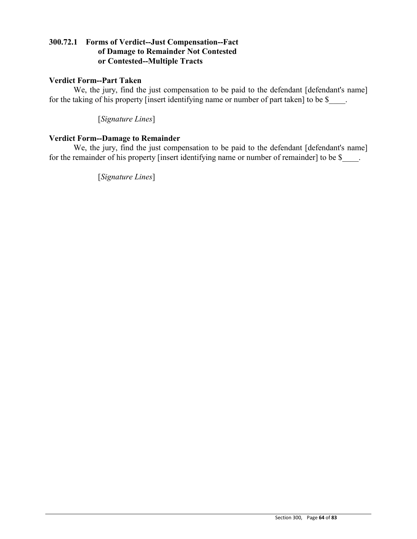## **300.72.1 Forms of Verdict--Just Compensation--Fact of Damage to Remainder Not Contested or Contested--Multiple Tracts**

## **Verdict Form--Part Taken**

We, the jury, find the just compensation to be paid to the defendant [defendant's name] for the taking of his property [insert identifying name or number of part taken] to be \$

[*Signature Lines*]

### **Verdict Form--Damage to Remainder**

We, the jury, find the just compensation to be paid to the defendant [defendant's name] for the remainder of his property [insert identifying name or number of remainder] to be \$

[*Signature Lines*]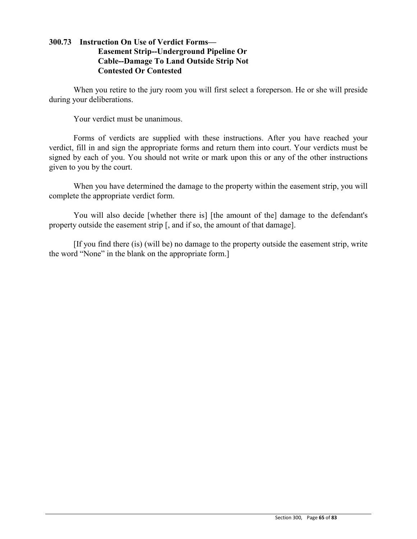## **300.73 Instruction On Use of Verdict Forms— Easement Strip--Underground Pipeline Or Cable--Damage To Land Outside Strip Not Contested Or Contested**

When you retire to the jury room you will first select a foreperson. He or she will preside during your deliberations.

Your verdict must be unanimous.

Forms of verdicts are supplied with these instructions. After you have reached your verdict, fill in and sign the appropriate forms and return them into court. Your verdicts must be signed by each of you. You should not write or mark upon this or any of the other instructions given to you by the court.

When you have determined the damage to the property within the easement strip, you will complete the appropriate verdict form.

You will also decide [whether there is] [the amount of the] damage to the defendant's property outside the easement strip [, and if so, the amount of that damage].

[If you find there (is) (will be) no damage to the property outside the easement strip, write the word "None" in the blank on the appropriate form.]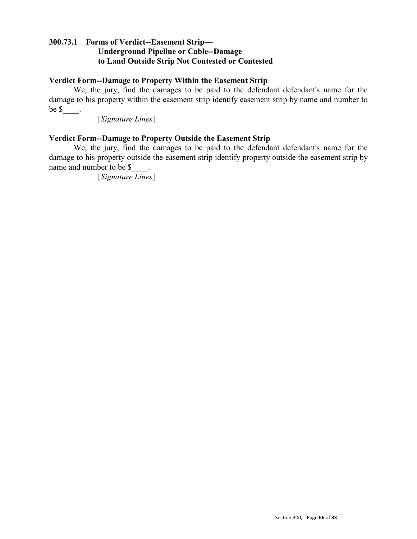## **300.73.1 Forms of Verdict--Easement Strip— Underground Pipeline or Cable--Damage to Land Outside Strip Not Contested or Contested**

### **Verdict Form--Damage to Property Within the Easement Strip**

We, the jury, find the damages to be paid to the defendant defendant's name for the damage to his property within the easement strip identify easement strip by name and number to be  $\frac{\ }{2}$ .

[*Signature Lines*]

### **Verdict Form--Damage to Property Outside the Easement Strip**

We, the jury, find the damages to be paid to the defendant defendant's name for the damage to his property outside the easement strip identify property outside the easement strip by name and number to be \$

[*Signature Lines*]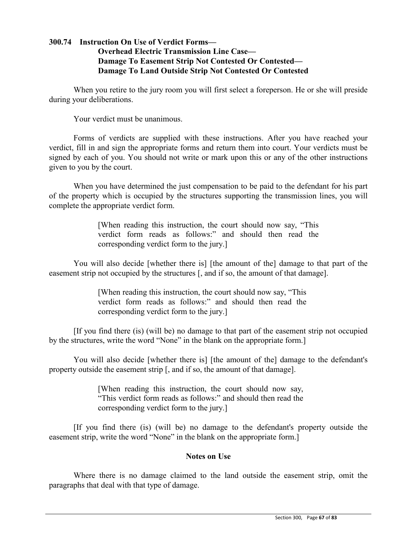## **300.74 Instruction On Use of Verdict Forms— Overhead Electric Transmission Line Case— Damage To Easement Strip Not Contested Or Contested— Damage To Land Outside Strip Not Contested Or Contested**

When you retire to the jury room you will first select a foreperson. He or she will preside during your deliberations.

Your verdict must be unanimous.

Forms of verdicts are supplied with these instructions. After you have reached your verdict, fill in and sign the appropriate forms and return them into court. Your verdicts must be signed by each of you. You should not write or mark upon this or any of the other instructions given to you by the court.

When you have determined the just compensation to be paid to the defendant for his part of the property which is occupied by the structures supporting the transmission lines, you will complete the appropriate verdict form.

> [When reading this instruction, the court should now say, "This verdict form reads as follows:" and should then read the corresponding verdict form to the jury.]

You will also decide [whether there is] [the amount of the] damage to that part of the easement strip not occupied by the structures [, and if so, the amount of that damage].

> [When reading this instruction, the court should now say, "This verdict form reads as follows:" and should then read the corresponding verdict form to the jury.]

[If you find there (is) (will be) no damage to that part of the easement strip not occupied by the structures, write the word "None" in the blank on the appropriate form.]

You will also decide [whether there is] [the amount of the] damage to the defendant's property outside the easement strip [, and if so, the amount of that damage].

> [When reading this instruction, the court should now say, "This verdict form reads as follows:" and should then read the corresponding verdict form to the jury.]

[If you find there (is) (will be) no damage to the defendant's property outside the easement strip, write the word "None" in the blank on the appropriate form.]

### **Notes on Use**

Where there is no damage claimed to the land outside the easement strip, omit the paragraphs that deal with that type of damage.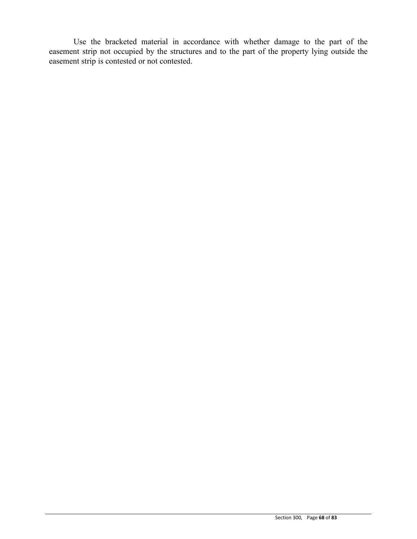Use the bracketed material in accordance with whether damage to the part of the easement strip not occupied by the structures and to the part of the property lying outside the easement strip is contested or not contested.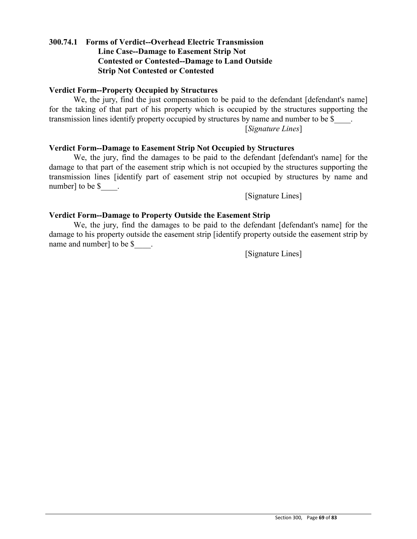## **300.74.1 Forms of Verdict--Overhead Electric Transmission Line Case--Damage to Easement Strip Not Contested or Contested--Damage to Land Outside Strip Not Contested or Contested**

### **Verdict Form--Property Occupied by Structures**

We, the jury, find the just compensation to be paid to the defendant [defendant's name] for the taking of that part of his property which is occupied by the structures supporting the transmission lines identify property occupied by structures by name and number to be \$

[*Signature Lines*]

### **Verdict Form--Damage to Easement Strip Not Occupied by Structures**

We, the jury, find the damages to be paid to the defendant [defendant's name] for the damage to that part of the easement strip which is not occupied by the structures supporting the transmission lines [identify part of easement strip not occupied by structures by name and number] to be \$\_\_\_\_.

[Signature Lines]

#### **Verdict Form--Damage to Property Outside the Easement Strip**

We, the jury, find the damages to be paid to the defendant [defendant's name] for the damage to his property outside the easement strip [identify property outside the easement strip by name and number] to be \$.

[Signature Lines]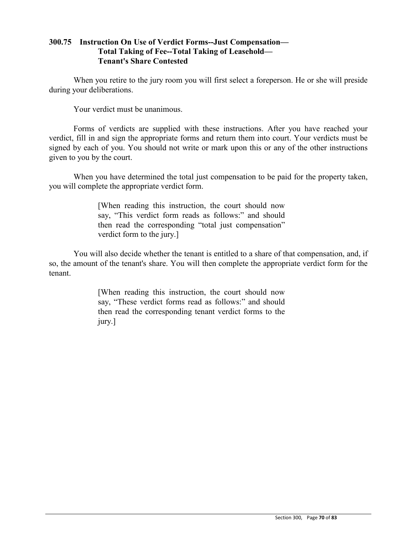## **300.75 Instruction On Use of Verdict Forms--Just Compensation— Total Taking of Fee--Total Taking of Leasehold— Tenant's Share Contested**

When you retire to the jury room you will first select a foreperson. He or she will preside during your deliberations.

Your verdict must be unanimous.

Forms of verdicts are supplied with these instructions. After you have reached your verdict, fill in and sign the appropriate forms and return them into court. Your verdicts must be signed by each of you. You should not write or mark upon this or any of the other instructions given to you by the court.

When you have determined the total just compensation to be paid for the property taken, you will complete the appropriate verdict form.

> [When reading this instruction, the court should now say, "This verdict form reads as follows:" and should then read the corresponding "total just compensation" verdict form to the jury.]

You will also decide whether the tenant is entitled to a share of that compensation, and, if so, the amount of the tenant's share. You will then complete the appropriate verdict form for the tenant.

> [When reading this instruction, the court should now say, "These verdict forms read as follows:" and should then read the corresponding tenant verdict forms to the jury.]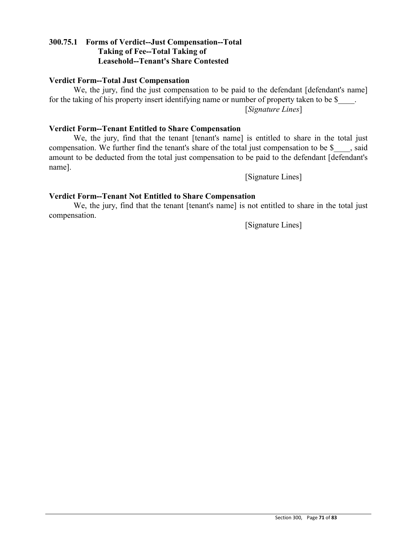### **300.75.1 Forms of Verdict--Just Compensation--Total Taking of Fee--Total Taking of Leasehold--Tenant's Share Contested**

### **Verdict Form--Total Just Compensation**

We, the jury, find the just compensation to be paid to the defendant [defendant's name] for the taking of his property insert identifying name or number of property taken to be \$ [*Signature Lines*]

### **Verdict Form--Tenant Entitled to Share Compensation**

We, the jury, find that the tenant [tenant's name] is entitled to share in the total just compensation. We further find the tenant's share of the total just compensation to be \$  $\,$ , said amount to be deducted from the total just compensation to be paid to the defendant [defendant's name].

[Signature Lines]

### **Verdict Form--Tenant Not Entitled to Share Compensation**

We, the jury, find that the tenant [tenant's name] is not entitled to share in the total just compensation.

[Signature Lines]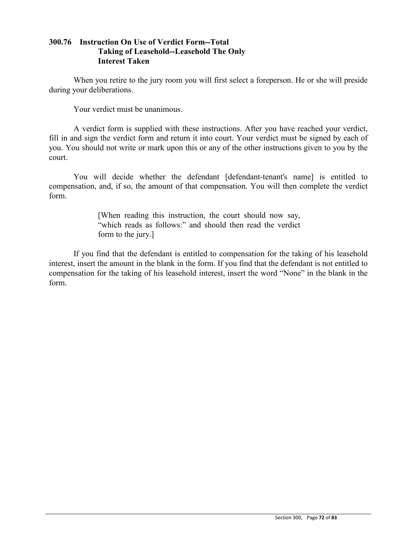# **300.76 Instruction On Use of Verdict Form--Total Taking of Leasehold--Leasehold The Only Interest Taken**

When you retire to the jury room you will first select a foreperson. He or she will preside during your deliberations.

Your verdict must be unanimous.

A verdict form is supplied with these instructions. After you have reached your verdict, fill in and sign the verdict form and return it into court. Your verdict must be signed by each of you. You should not write or mark upon this or any of the other instructions given to you by the court.

You will decide whether the defendant [defendant-tenant's name] is entitled to compensation, and, if so, the amount of that compensation. You will then complete the verdict form.

> [When reading this instruction, the court should now say, "which reads as follows:" and should then read the verdict form to the jury.]

If you find that the defendant is entitled to compensation for the taking of his leasehold interest, insert the amount in the blank in the form. If you find that the defendant is not entitled to compensation for the taking of his leasehold interest, insert the word "None" in the blank in the form.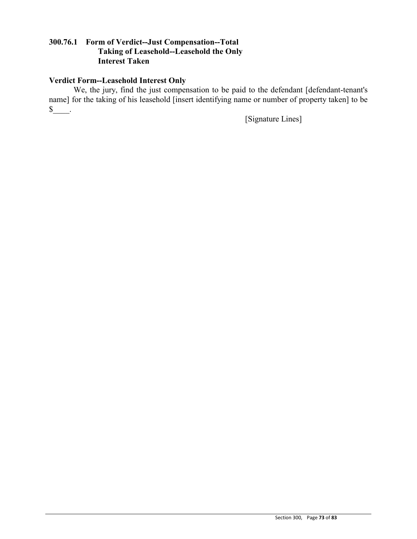# **300.76.1 Form of Verdict--Just Compensation--Total Taking of Leasehold--Leasehold the Only Interest Taken**

# **Verdict Form--Leasehold Interest Only**

We, the jury, find the just compensation to be paid to the defendant [defendant-tenant's name] for the taking of his leasehold [insert identifying name or number of property taken] to be  $S$ \_\_\_\_\_\_.

[Signature Lines]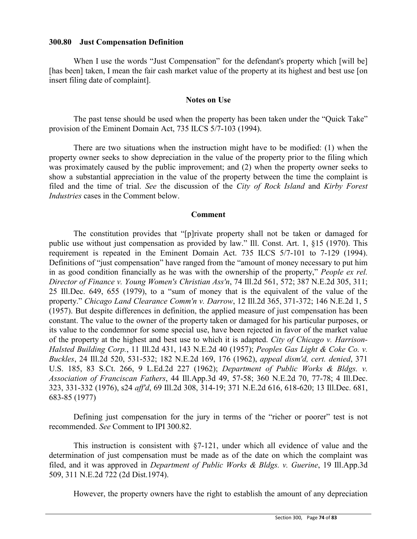# **300.80 Just Compensation Definition**

When I use the words "Just Compensation" for the defendant's property which [will be] [has been] taken, I mean the fair cash market value of the property at its highest and best use [on insert filing date of complaint].

## **Notes on Use**

The past tense should be used when the property has been taken under the "Quick Take" provision of the Eminent Domain Act, 735 ILCS 5/7-103 (1994).

There are two situations when the instruction might have to be modified: (1) when the property owner seeks to show depreciation in the value of the property prior to the filing which was proximately caused by the public improvement; and (2) when the property owner seeks to show a substantial appreciation in the value of the property between the time the complaint is filed and the time of trial. *See* the discussion of the *City of Rock Island* and *Kirby Forest Industries* cases in the Comment below.

## **Comment**

The constitution provides that "[p]rivate property shall not be taken or damaged for public use without just compensation as provided by law." Ill. Const. Art. 1, §15 (1970). This requirement is repeated in the Eminent Domain Act. 735 ILCS 5/7-101 to 7-129 (1994). Definitions of "just compensation" have ranged from the "amount of money necessary to put him in as good condition financially as he was with the ownership of the property," *People ex rel. Director of Finance v. Young Women's Christian Ass'n*, 74 Ill.2d 561, 572; 387 N.E.2d 305, 311; 25 Ill.Dec. 649, 655 (1979), to a "sum of money that is the equivalent of the value of the property." *Chicago Land Clearance Comm'n v. Darrow*, 12 Ill.2d 365, 371-372; 146 N.E.2d 1, 5 (1957). But despite differences in definition, the applied measure of just compensation has been constant. The value to the owner of the property taken or damaged for his particular purposes, or its value to the condemnor for some special use, have been rejected in favor of the market value of the property at the highest and best use to which it is adapted. *City of Chicago v. Harrison-Halsted Building Corp.*, 11 Ill.2d 431, 143 N.E.2d 40 (1957); *Peoples Gas Light & Coke Co. v. Buckles*, 24 Ill.2d 520, 531-532; 182 N.E.2d 169, 176 (1962), *appeal dism'd, cert. denied*, 371 U.S. 185, 83 S.Ct. 266, 9 L.Ed.2d 227 (1962); *Department of Public Works & Bldgs. v. Association of Franciscan Fathers*, 44 Ill.App.3d 49, 57-58; 360 N.E.2d 70, 77-78; 4 Ill.Dec. 323, 331-332 (1976), s24 *aff'd*, 69 Ill.2d 308, 314-19; 371 N.E.2d 616, 618-620; 13 Ill.Dec. 681, 683-85 (1977)

Defining just compensation for the jury in terms of the "richer or poorer" test is not recommended. *See* Comment to IPI 300.82.

This instruction is consistent with §7-121, under which all evidence of value and the determination of just compensation must be made as of the date on which the complaint was filed, and it was approved in *Department of Public Works & Bldgs. v. Guerine*, 19 Ill.App.3d 509, 311 N.E.2d 722 (2d Dist.1974).

However, the property owners have the right to establish the amount of any depreciation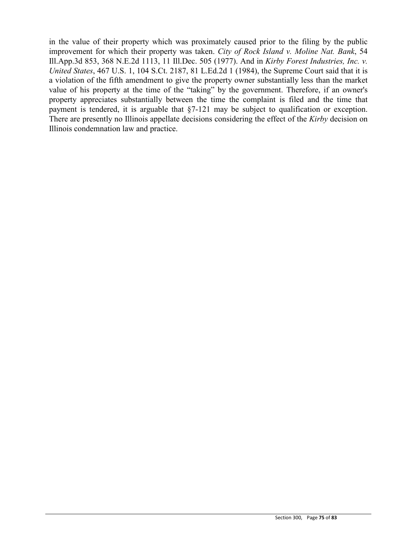in the value of their property which was proximately caused prior to the filing by the public improvement for which their property was taken. *City of Rock Island v. Moline Nat. Bank*, 54 Ill.App.3d 853, 368 N.E.2d 1113, 11 Ill.Dec. 505 (1977). And in *Kirby Forest Industries, Inc. v. United States*, 467 U.S. 1, 104 S.Ct. 2187, 81 L.Ed.2d 1 (1984), the Supreme Court said that it is a violation of the fifth amendment to give the property owner substantially less than the market value of his property at the time of the "taking" by the government. Therefore, if an owner's property appreciates substantially between the time the complaint is filed and the time that payment is tendered, it is arguable that §7-121 may be subject to qualification or exception. There are presently no Illinois appellate decisions considering the effect of the *Kirby* decision on Illinois condemnation law and practice.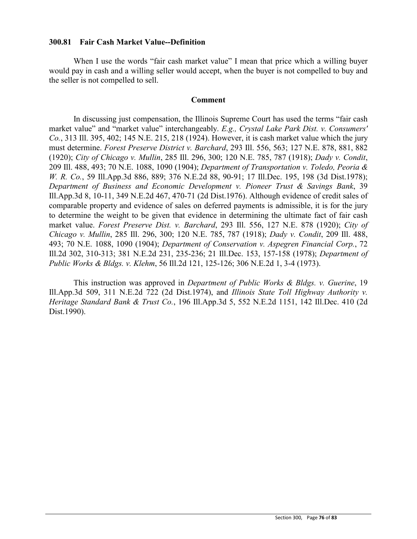### **300.81 Fair Cash Market Value--Definition**

When I use the words "fair cash market value" I mean that price which a willing buyer would pay in cash and a willing seller would accept, when the buyer is not compelled to buy and the seller is not compelled to sell.

#### **Comment**

In discussing just compensation, the Illinois Supreme Court has used the terms "fair cash market value" and "market value" interchangeably. *E.g., Crystal Lake Park Dist. v. Consumers' Co.*, 313 Ill. 395, 402; 145 N.E. 215, 218 (1924). However, it is cash market value which the jury must determine. *Forest Preserve District v. Barchard*, 293 Ill. 556, 563; 127 N.E. 878, 881, 882 (1920); *City of Chicago v. Mullin*, 285 Ill. 296, 300; 120 N.E. 785, 787 (1918); *Dady v. Condit*, 209 Ill. 488, 493; 70 N.E. 1088, 1090 (1904); *Department of Transportation v. Toledo, Peoria & W. R. Co.*, 59 Ill.App.3d 886, 889; 376 N.E.2d 88, 90-91; 17 Ill.Dec. 195, 198 (3d Dist.1978); *Department of Business and Economic Development v. Pioneer Trust & Savings Bank*, 39 Ill.App.3d 8, 10-11, 349 N.E.2d 467, 470-71 (2d Dist.1976). Although evidence of credit sales of comparable property and evidence of sales on deferred payments is admissible, it is for the jury to determine the weight to be given that evidence in determining the ultimate fact of fair cash market value. *Forest Preserve Dist. v. Barchard*, 293 Ill. 556, 127 N.E. 878 (1920); *City of Chicago v. Mullin*, 285 Ill. 296, 300; 120 N.E. 785, 787 (1918); *Dady v. Condit*, 209 Ill. 488, 493; 70 N.E. 1088, 1090 (1904); *Department of Conservation v. Aspegren Financial Corp.*, 72 Ill.2d 302, 310-313; 381 N.E.2d 231, 235-236; 21 Ill.Dec. 153, 157-158 (1978); *Department of Public Works & Bldgs. v. Klehm*, 56 Ill.2d 121, 125-126; 306 N.E.2d 1, 3-4 (1973).

This instruction was approved in *Department of Public Works & Bldgs. v. Guerine*, 19 Ill.App.3d 509, 311 N.E.2d 722 (2d Dist.1974), and *Illinois State Toll Highway Authority v. Heritage Standard Bank & Trust Co.*, 196 Ill.App.3d 5, 552 N.E.2d 1151, 142 Ill.Dec. 410 (2d Dist.1990).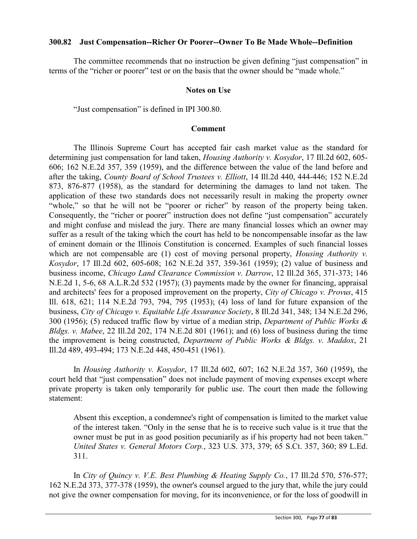# **300.82 Just Compensation--Richer Or Poorer--Owner To Be Made Whole--Definition**

The committee recommends that no instruction be given defining "just compensation" in terms of the "richer or poorer" test or on the basis that the owner should be "made whole."

## **Notes on Use**

"Just compensation" is defined in IPI 300.80.

## **Comment**

The Illinois Supreme Court has accepted fair cash market value as the standard for determining just compensation for land taken, *Housing Authority v. Kosydor*, 17 Ill.2d 602, 605- 606; 162 N.E.2d 357, 359 (1959), and the difference between the value of the land before and after the taking, *County Board of School Trustees v. Elliott*, 14 Ill.2d 440, 444-446; 152 N.E.2d 873, 876-877 (1958), as the standard for determining the damages to land not taken. The application of these two standards does not necessarily result in making the property owner "whole," so that he will not be "poorer or richer" by reason of the property being taken. Consequently, the "richer or poorer" instruction does not define "just compensation" accurately and might confuse and mislead the jury. There are many financial losses which an owner may suffer as a result of the taking which the court has held to be noncompensable insofar as the law of eminent domain or the Illinois Constitution is concerned. Examples of such financial losses which are not compensable are (1) cost of moving personal property, *Housing Authority v. Kosydor*, 17 Ill.2d 602, 605-608; 162 N.E.2d 357, 359-361 (1959); (2) value of business and business income, *Chicago Land Clearance Commission v. Darrow*, 12 Ill.2d 365, 371-373; 146 N.E.2d 1, 5-6, 68 A.L.R.2d 532 (1957); (3) payments made by the owner for financing, appraisal and architects' fees for a proposed improvement on the property, *City of Chicago v. Provus*, 415 Ill. 618, 621; 114 N.E.2d 793, 794, 795 (1953); (4) loss of land for future expansion of the business, *City of Chicago v. Equitable Life Assurance Society*, 8 Ill.2d 341, 348; 134 N.E.2d 296, 300 (1956); (5) reduced traffic flow by virtue of a median strip, *Department of Public Works & Bldgs. v. Mabee*, 22 Ill.2d 202, 174 N.E.2d 801 (1961); and (6) loss of business during the time the improvement is being constructed, *Department of Public Works & Bldgs. v. Maddox*, 21 Ill.2d 489, 493-494; 173 N.E.2d 448, 450-451 (1961).

In *Housing Authority v. Kosydor*, 17 Ill.2d 602, 607; 162 N.E.2d 357, 360 (1959), the court held that "just compensation" does not include payment of moving expenses except where private property is taken only temporarily for public use. The court then made the following statement:

Absent this exception, a condemnee's right of compensation is limited to the market value of the interest taken. "Only in the sense that he is to receive such value is it true that the owner must be put in as good position pecuniarily as if his property had not been taken." *United States v. General Motors Corp.*, 323 U.S. 373, 379; 65 S.Ct. 357, 360; 89 L.Ed. 311.

In *City of Quincy v. V.E. Best Plumbing & Heating Supply Co.*, 17 Ill.2d 570, 576-577; 162 N.E.2d 373, 377-378 (1959), the owner's counsel argued to the jury that, while the jury could not give the owner compensation for moving, for its inconvenience, or for the loss of goodwill in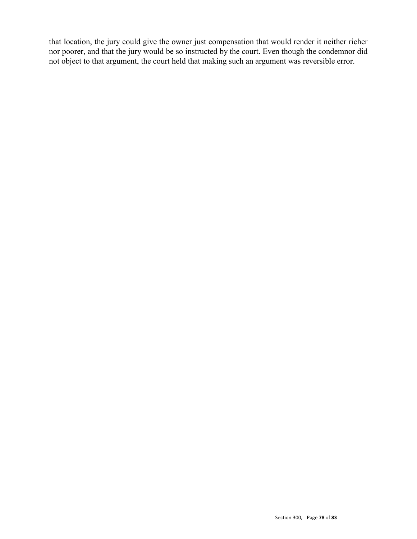that location, the jury could give the owner just compensation that would render it neither richer nor poorer, and that the jury would be so instructed by the court. Even though the condemnor did not object to that argument, the court held that making such an argument was reversible error.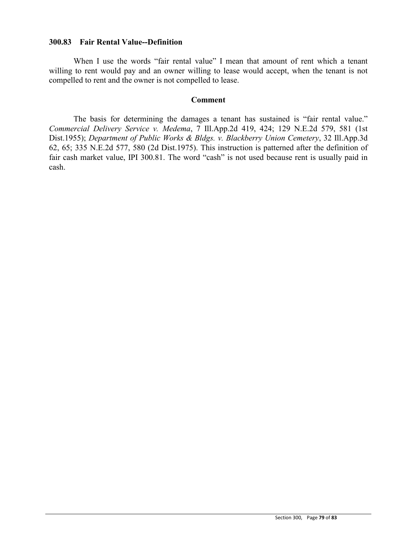## **300.83 Fair Rental Value--Definition**

When I use the words "fair rental value" I mean that amount of rent which a tenant willing to rent would pay and an owner willing to lease would accept, when the tenant is not compelled to rent and the owner is not compelled to lease.

#### **Comment**

The basis for determining the damages a tenant has sustained is "fair rental value." *Commercial Delivery Service v. Medema*, 7 Ill.App.2d 419, 424; 129 N.E.2d 579, 581 (1st Dist.1955); *Department of Public Works & Bldgs. v. Blackberry Union Cemetery*, 32 Ill.App.3d 62, 65; 335 N.E.2d 577, 580 (2d Dist.1975). This instruction is patterned after the definition of fair cash market value, IPI 300.81. The word "cash" is not used because rent is usually paid in cash.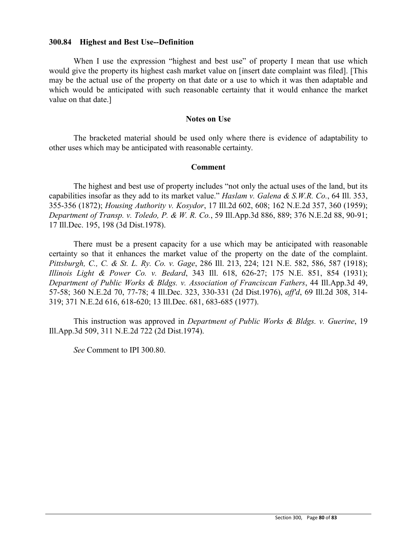### **300.84 Highest and Best Use--Definition**

When I use the expression "highest and best use" of property I mean that use which would give the property its highest cash market value on [insert date complaint was filed]. [This may be the actual use of the property on that date or a use to which it was then adaptable and which would be anticipated with such reasonable certainty that it would enhance the market value on that date.]

#### **Notes on Use**

The bracketed material should be used only where there is evidence of adaptability to other uses which may be anticipated with reasonable certainty.

#### **Comment**

The highest and best use of property includes "not only the actual uses of the land, but its capabilities insofar as they add to its market value." *Haslam v. Galena & S.W.R. Co.*, 64 Ill. 353, 355-356 (1872); *Housing Authority v. Kosydor*, 17 Ill.2d 602, 608; 162 N.E.2d 357, 360 (1959); *Department of Transp. v. Toledo, P. & W. R. Co.*, 59 Ill.App.3d 886, 889; 376 N.E.2d 88, 90-91; 17 Ill.Dec. 195, 198 (3d Dist.1978).

There must be a present capacity for a use which may be anticipated with reasonable certainty so that it enhances the market value of the property on the date of the complaint. *Pittsburgh, C., C. & St. L. Ry. Co. v. Gage*, 286 Ill. 213, 224; 121 N.E. 582, 586, 587 (1918); *Illinois Light & Power Co. v. Bedard*, 343 Ill. 618, 626-27; 175 N.E. 851, 854 (1931); *Department of Public Works & Bldgs. v. Association of Franciscan Fathers*, 44 Ill.App.3d 49, 57-58; 360 N.E.2d 70, 77-78; 4 Ill.Dec. 323, 330-331 (2d Dist.1976), *aff'd*, 69 Ill.2d 308, 314- 319; 371 N.E.2d 616, 618-620; 13 Ill.Dec. 681, 683-685 (1977).

This instruction was approved in *Department of Public Works & Bldgs. v. Guerine*, 19 Ill.App.3d 509, 311 N.E.2d 722 (2d Dist.1974).

*See* Comment to IPI 300.80.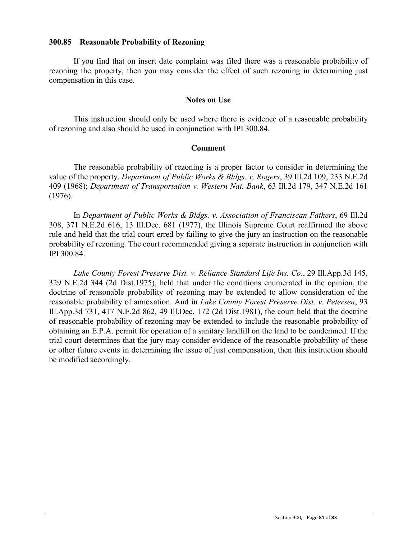## **300.85 Reasonable Probability of Rezoning**

If you find that on insert date complaint was filed there was a reasonable probability of rezoning the property, then you may consider the effect of such rezoning in determining just compensation in this case.

#### **Notes on Use**

This instruction should only be used where there is evidence of a reasonable probability of rezoning and also should be used in conjunction with IPI 300.84.

#### **Comment**

The reasonable probability of rezoning is a proper factor to consider in determining the value of the property. *Department of Public Works & Bldgs. v. Rogers*, 39 Ill.2d 109, 233 N.E.2d 409 (1968); *Department of Transportation v. Western Nat. Bank*, 63 Ill.2d 179, 347 N.E.2d 161 (1976).

In *Department of Public Works & Bldgs. v. Association of Franciscan Fathers*, 69 Ill.2d 308, 371 N.E.2d 616, 13 Ill.Dec. 681 (1977), the Illinois Supreme Court reaffirmed the above rule and held that the trial court erred by failing to give the jury an instruction on the reasonable probability of rezoning. The court recommended giving a separate instruction in conjunction with IPI 300.84.

*Lake County Forest Preserve Dist. v. Reliance Standard Life Ins. Co.*, 29 Ill.App.3d 145, 329 N.E.2d 344 (2d Dist.1975), held that under the conditions enumerated in the opinion, the doctrine of reasonable probability of rezoning may be extended to allow consideration of the reasonable probability of annexation. And in *Lake County Forest Preserve Dist. v. Petersen*, 93 Ill.App.3d 731, 417 N.E.2d 862, 49 Ill.Dec. 172 (2d Dist.1981), the court held that the doctrine of reasonable probability of rezoning may be extended to include the reasonable probability of obtaining an E.P.A. permit for operation of a sanitary landfill on the land to be condemned. If the trial court determines that the jury may consider evidence of the reasonable probability of these or other future events in determining the issue of just compensation, then this instruction should be modified accordingly.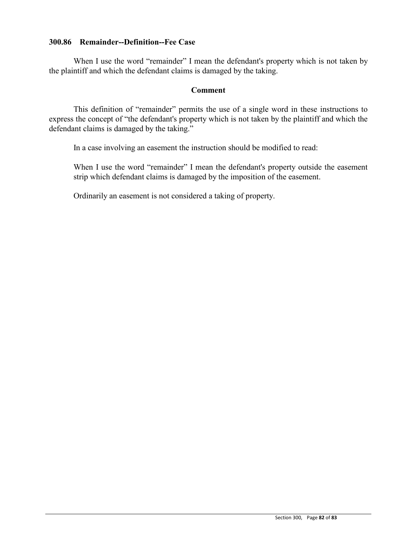# **300.86 Remainder--Definition--Fee Case**

When I use the word "remainder" I mean the defendant's property which is not taken by the plaintiff and which the defendant claims is damaged by the taking.

## **Comment**

This definition of "remainder" permits the use of a single word in these instructions to express the concept of "the defendant's property which is not taken by the plaintiff and which the defendant claims is damaged by the taking."

In a case involving an easement the instruction should be modified to read:

When I use the word "remainder" I mean the defendant's property outside the easement strip which defendant claims is damaged by the imposition of the easement.

Ordinarily an easement is not considered a taking of property.